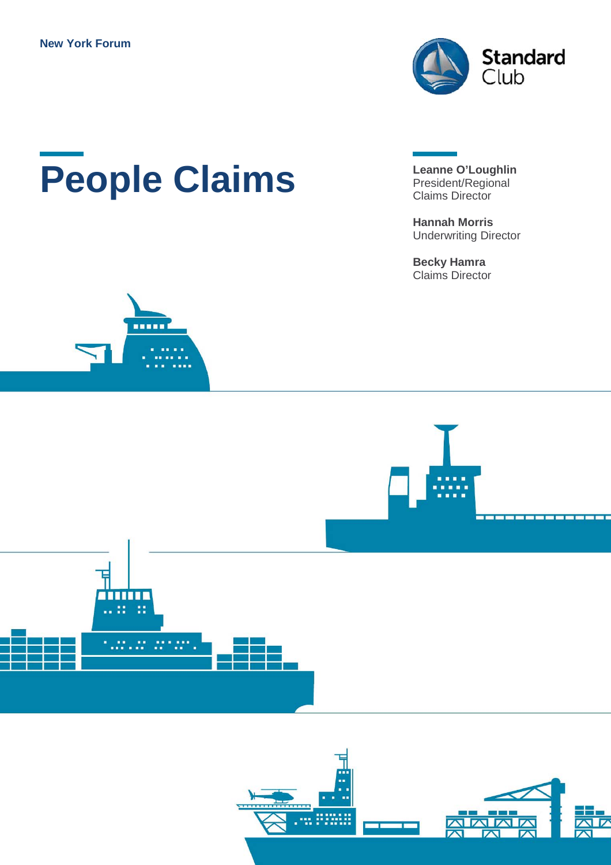

# **People Claims** Leanne O'Loughlin<br>Claims Director

.....

President/Regional Claims Director

**Hannah Morris** Underwriting Director

**Becky Hamra** Claims Director



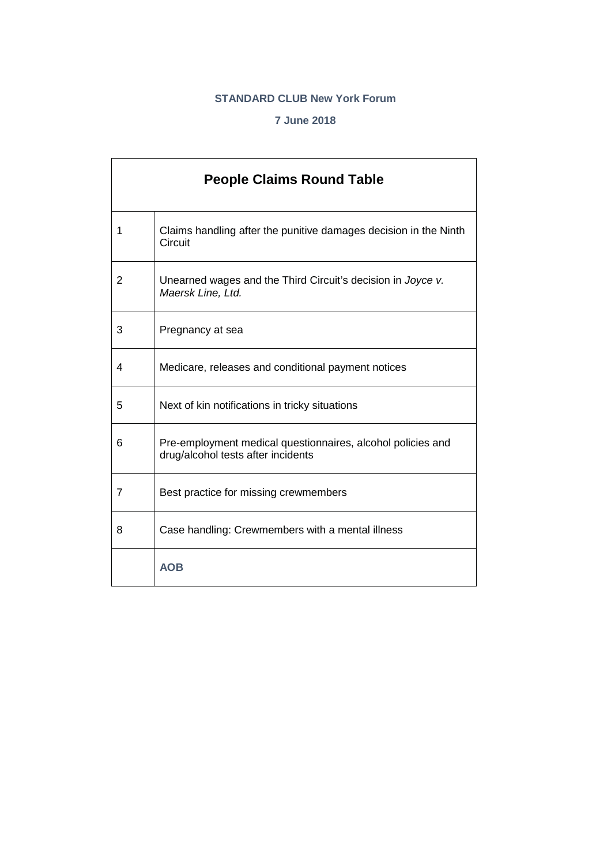#### **STANDARD CLUB New York Forum**

#### **7 June 2018**

|   | <b>People Claims Round Table</b>                                                                  |
|---|---------------------------------------------------------------------------------------------------|
| 1 | Claims handling after the punitive damages decision in the Ninth<br>Circuit                       |
| 2 | Unearned wages and the Third Circuit's decision in Joyce v.<br>Maersk Line, Ltd.                  |
| 3 | Pregnancy at sea                                                                                  |
| 4 | Medicare, releases and conditional payment notices                                                |
| 5 | Next of kin notifications in tricky situations                                                    |
| 6 | Pre-employment medical questionnaires, alcohol policies and<br>drug/alcohol tests after incidents |
| 7 | Best practice for missing crewmembers                                                             |
| 8 | Case handling: Crewmembers with a mental illness                                                  |
|   | <b>AOB</b>                                                                                        |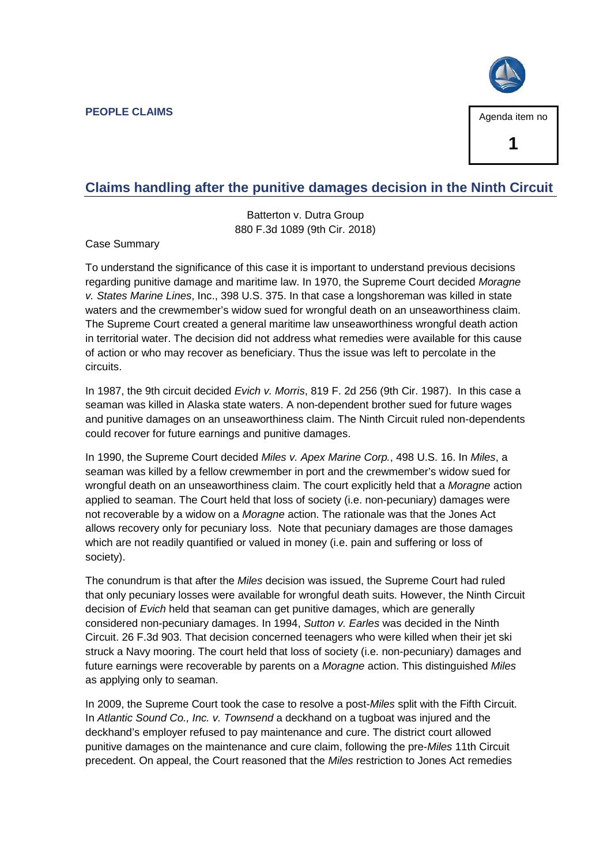**PEOPLE CLAIMS**



#### **Claims handling after the punitive damages decision in the Ninth Circuit**

Batterton v. Dutra Group 880 F.3d 1089 (9th Cir. 2018)

Case Summary

To understand the significance of this case it is important to understand previous decisions regarding punitive damage and maritime law. In 1970, the Supreme Court decided *Moragne v. States Marine Lines*, Inc., 398 U.S. 375. In that case a longshoreman was killed in state waters and the crewmember's widow sued for wrongful death on an unseaworthiness claim. The Supreme Court created a general maritime law unseaworthiness wrongful death action in territorial water. The decision did not address what remedies were available for this cause of action or who may recover as beneficiary. Thus the issue was left to percolate in the circuits.

In 1987, the 9th circuit decided *Evich v. Morris*, 819 F. 2d 256 (9th Cir. 1987). In this case a seaman was killed in Alaska state waters. A non-dependent brother sued for future wages and punitive damages on an unseaworthiness claim. The Ninth Circuit ruled non-dependents could recover for future earnings and punitive damages.

In 1990, the Supreme Court decided *Miles v. Apex Marine Corp.*, 498 U.S. 16. In *Miles*, a seaman was killed by a fellow crewmember in port and the crewmember's widow sued for wrongful death on an unseaworthiness claim. The court explicitly held that a *Moragne* action applied to seaman. The Court held that loss of society (i.e. non-pecuniary) damages were not recoverable by a widow on a *Moragne* action. The rationale was that the Jones Act allows recovery only for pecuniary loss. Note that pecuniary damages are those damages which are not readily quantified or valued in money (i.e. pain and suffering or loss of society).

The conundrum is that after the *Miles* decision was issued, the Supreme Court had ruled that only pecuniary losses were available for wrongful death suits. However, the Ninth Circuit decision of *Evich* held that seaman can get punitive damages, which are generally considered non-pecuniary damages. In 1994, *Sutton v. Earles* was decided in the Ninth Circuit. 26 F.3d 903. That decision concerned teenagers who were killed when their jet ski struck a Navy mooring. The court held that loss of society (i.e. non-pecuniary) damages and future earnings were recoverable by parents on a *Moragne* action. This distinguished *Miles* as applying only to seaman.

In 2009, the Supreme Court took the case to resolve a post-*Miles* split with the Fifth Circuit. In *Atlantic Sound Co., Inc. v. Townsend* a deckhand on a tugboat was injured and the deckhand's employer refused to pay maintenance and cure. The district court allowed punitive damages on the maintenance and cure claim, following the pre-*Miles* 11th Circuit precedent. On appeal, the Court reasoned that the *Miles* restriction to Jones Act remedies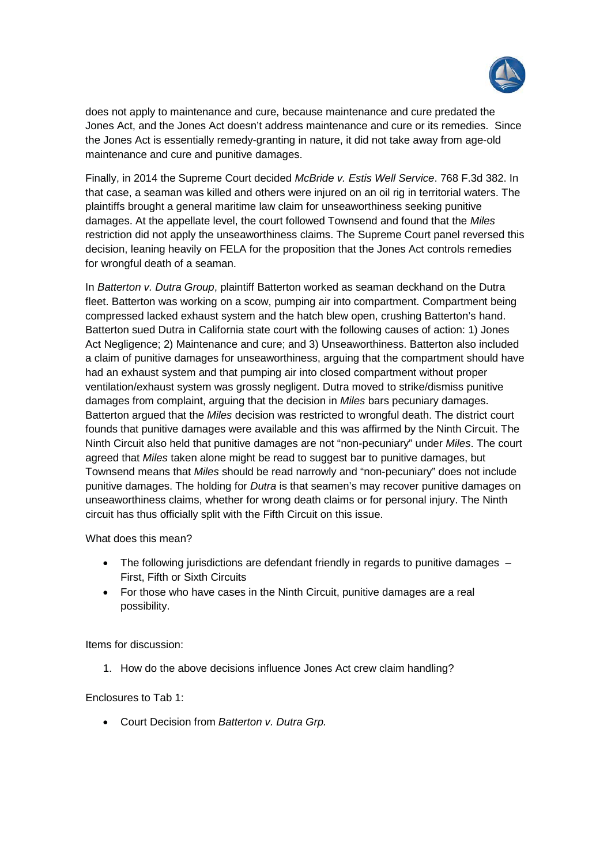

does not apply to maintenance and cure, because maintenance and cure predated the Jones Act, and the Jones Act doesn't address maintenance and cure or its remedies. Since the Jones Act is essentially remedy-granting in nature, it did not take away from age-old maintenance and cure and punitive damages.

Finally, in 2014 the Supreme Court decided *McBride v. Estis Well Service*. 768 F.3d 382. In that case, a seaman was killed and others were injured on an oil rig in territorial waters. The plaintiffs brought a general maritime law claim for unseaworthiness seeking punitive damages. At the appellate level, the court followed Townsend and found that the *Miles* restriction did not apply the unseaworthiness claims. The Supreme Court panel reversed this decision, leaning heavily on FELA for the proposition that the Jones Act controls remedies for wrongful death of a seaman.

In *Batterton v. Dutra Group*, plaintiff Batterton worked as seaman deckhand on the Dutra fleet. Batterton was working on a scow, pumping air into compartment. Compartment being compressed lacked exhaust system and the hatch blew open, crushing Batterton's hand. Batterton sued Dutra in California state court with the following causes of action: 1) Jones Act Negligence; 2) Maintenance and cure; and 3) Unseaworthiness. Batterton also included a claim of punitive damages for unseaworthiness, arguing that the compartment should have had an exhaust system and that pumping air into closed compartment without proper ventilation/exhaust system was grossly negligent. Dutra moved to strike/dismiss punitive damages from complaint, arguing that the decision in *Miles* bars pecuniary damages. Batterton argued that the *Miles* decision was restricted to wrongful death. The district court founds that punitive damages were available and this was affirmed by the Ninth Circuit. The Ninth Circuit also held that punitive damages are not "non-pecuniary" under *Miles*. The court agreed that *Miles* taken alone might be read to suggest bar to punitive damages, but Townsend means that *Miles* should be read narrowly and "non-pecuniary" does not include punitive damages. The holding for *Dutra* is that seamen's may recover punitive damages on unseaworthiness claims, whether for wrong death claims or for personal injury. The Ninth circuit has thus officially split with the Fifth Circuit on this issue.

What does this mean?

- $\bullet$  The following jurisdictions are defendant friendly in regards to punitive damages  $-$ First, Fifth or Sixth Circuits
- For those who have cases in the Ninth Circuit, punitive damages are a real possibility.

Items for discussion:

1. How do the above decisions influence Jones Act crew claim handling?

Enclosures to Tab 1:

x Court Decision from *Batterton v. Dutra Grp.*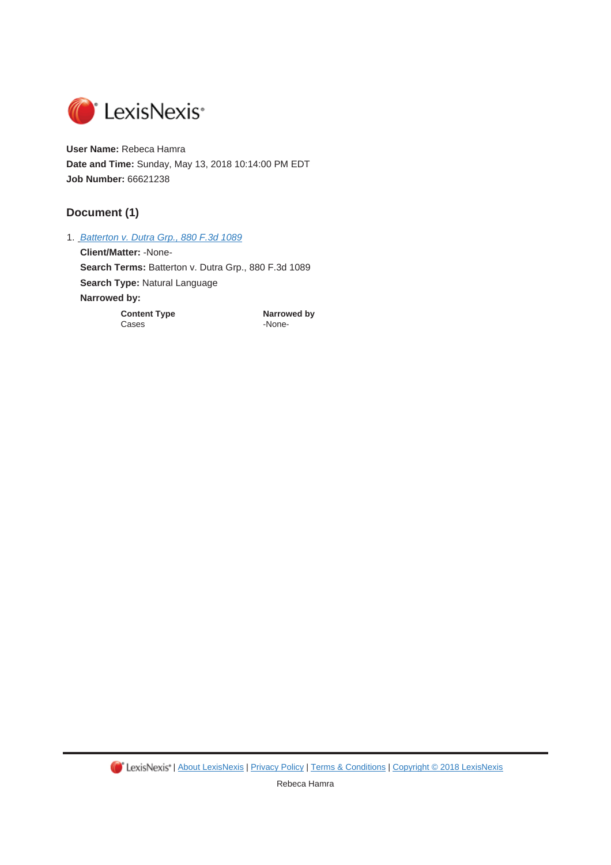

**User Name:** Rebeca Hamra **Date and Time:** Sunday, May 13, 2018 10:14:00 PM EDT **Job Number:** 66621238

#### **Document (1)**

1. *Batterton v. Dutra Grp., 880 F.3d 1089*

**Client/Matter:** -None-Search Terms: Batterton v. Dutra Grp., 880 F.3d 1089 **Search Type:** Natural Language **Narrowed by: Content Type <b>Content Type Narrowed by**<br>Cases **Cases** 

-None-

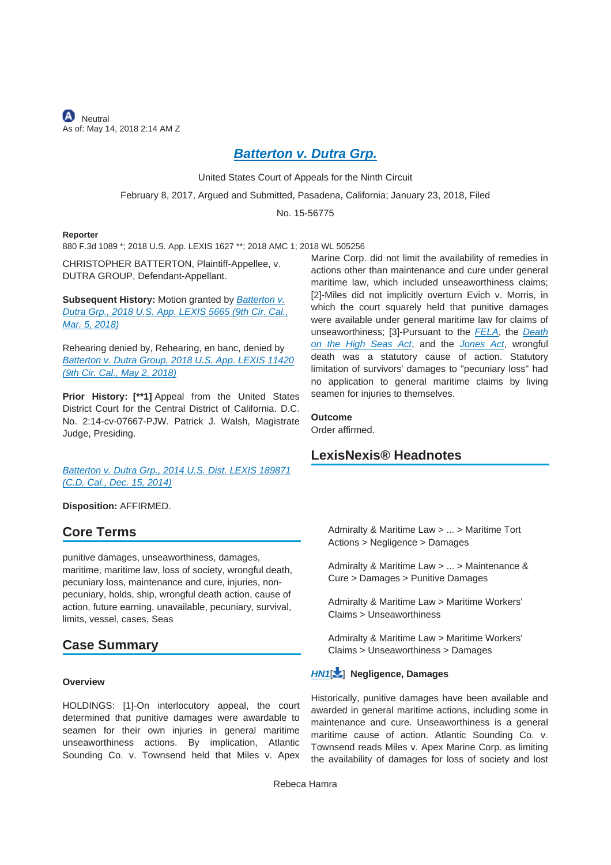**A** Neutral As of: May 14, 2018 2:14 AM Z

#### *Batterton v. Dutra Grp.*

United States Court of Appeals for the Ninth Circuit

February 8, 2017, Argued and Submitted, Pasadena, California; January 23, 2018, Filed

No. 15-56775

#### **Reporter**

880 F.3d 1089 \*; 2018 U.S. App. LEXIS 1627 \*\*; 2018 AMC 1; 2018 WL 505256

CHRISTOPHER BATTERTON, Plaintiff-Appellee, v. DUTRA GROUP, Defendant-Appellant.

**Subsequent History:** Motion granted by *Batterton v. Dutra Grp., 2018 U.S. App. LEXIS 5665 (9th Cir. Cal., Mar. 5, 2018)*

Rehearing denied by, Rehearing, en banc, denied by *Batterton v. Dutra Group, 2018 U.S. App. LEXIS 11420 (9th Cir. Cal., May 2, 2018)*

**Prior History: [\*\*1]** Appeal from the United States District Court for the Central District of California. D.C. No. 2:14-cv-07667-PJW. Patrick J. Walsh, Magistrate Judge, Presiding.

*Batterton v. Dutra Grp., 2014 U.S. Dist. LEXIS 189871 (C.D. Cal., Dec. 15, 2014)*

**Disposition:** AFFIRMED.

#### **Core Terms**

punitive damages, unseaworthiness, damages, maritime, maritime law, loss of society, wrongful death, pecuniary loss, maintenance and cure, injuries, nonpecuniary, holds, ship, wrongful death action, cause of action, future earning, unavailable, pecuniary, survival, limits, vessel, cases, Seas

#### **Case Summary**

#### **Overview**

HOLDINGS: [1]-On interlocutory appeal, the court determined that punitive damages were awardable to seamen for their own injuries in general maritime unseaworthiness actions. By implication, Atlantic Sounding Co. v. Townsend held that Miles v. Apex Marine Corp. did not limit the availability of remedies in actions other than maintenance and cure under general maritime law, which included unseaworthiness claims; [2]-Miles did not implicitly overturn Evich v. Morris, in which the court squarely held that punitive damages were available under general maritime law for claims of unseaworthiness; [3]-Pursuant to the *FELA*, the *Death on the High Seas Act*, and the *Jones Act*, wrongful death was a statutory cause of action. Statutory limitation of survivors' damages to "pecuniary loss" had no application to general maritime claims by living seamen for injuries to themselves.

**Outcome**

Order affirmed.

#### **LexisNexis® Headnotes**

Admiralty & Maritime Law > ... > Maritime Tort Actions > Negligence > Damages

Admiralty & Maritime Law > ... > Maintenance & Cure > Damages > Punitive Damages

Admiralty & Maritime Law > Maritime Workers' Claims > Unseaworthiness

Admiralty & Maritime Law > Maritime Workers' Claims > Unseaworthiness > Damages

#### *HN1*[ ] **Negligence, Damages**

Historically, punitive damages have been available and awarded in general maritime actions, including some in maintenance and cure. Unseaworthiness is a general maritime cause of action. Atlantic Sounding Co. v. Townsend reads Miles v. Apex Marine Corp. as limiting the availability of damages for loss of society and lost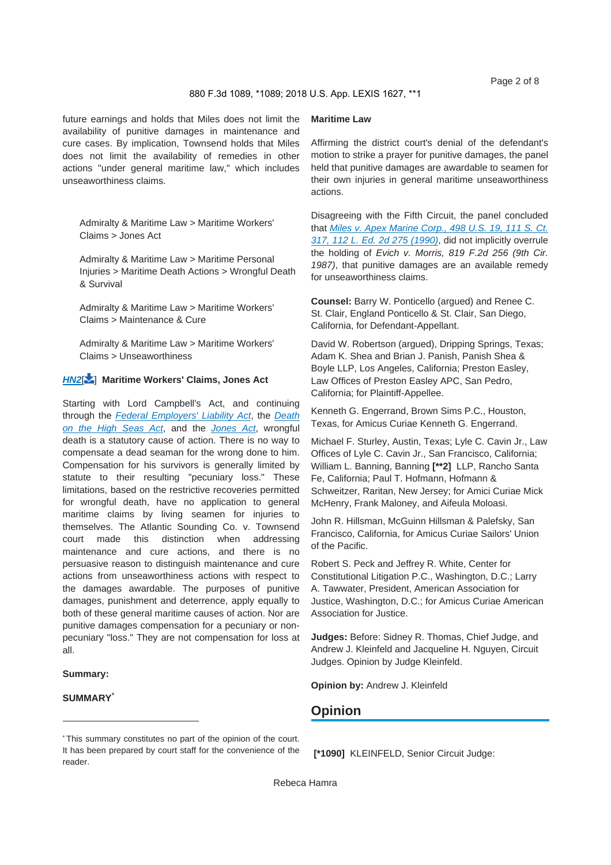880 F.3d 1089, \*1089; 2018 U.S. App. LEXIS 1627, \*\*1

future earnings and holds that Miles does not limit the availability of punitive damages in maintenance and cure cases. By implication, Townsend holds that Miles does not limit the availability of remedies in other actions "under general maritime law," which includes unseaworthiness claims.

Admiralty & Maritime Law > Maritime Workers' Claims > Jones Act

Admiralty & Maritime Law > Maritime Personal Injuries > Maritime Death Actions > Wrongful Death & Survival

Admiralty & Maritime Law > Maritime Workers' Claims > Maintenance & Cure

Admiralty & Maritime Law > Maritime Workers' Claims > Unseaworthiness

#### *HN2*[ ] **Maritime Workers' Claims, Jones Act**

Starting with Lord Campbell's Act, and continuing through the *Federal Employers' Liability Act*, the *Death on the High Seas Act*, and the *Jones Act*, wrongful death is a statutory cause of action. There is no way to compensate a dead seaman for the wrong done to him. Compensation for his survivors is generally limited by statute to their resulting "pecuniary loss." These limitations, based on the restrictive recoveries permitted for wrongful death, have no application to general maritime claims by living seamen for injuries to themselves. The Atlantic Sounding Co. v. Townsend court made this distinction when addressing maintenance and cure actions, and there is no persuasive reason to distinguish maintenance and cure actions from unseaworthiness actions with respect to the damages awardable. The purposes of punitive damages, punishment and deterrence, apply equally to both of these general maritime causes of action. Nor are punitive damages compensation for a pecuniary or nonpecuniary "loss." They are not compensation for loss at all.

#### **Summary:**

#### **SUMMARY**\*

#### **Maritime Law**

Affirming the district court's denial of the defendant's motion to strike a prayer for punitive damages, the panel held that punitive damages are awardable to seamen for their own injuries in general maritime unseaworthiness actions.

Disagreeing with the Fifth Circuit, the panel concluded that *Miles v. Apex Marine Corp., 498 U.S. 19, 111 S. Ct. 317, 112 L. Ed. 2d 275 (1990)*, did not implicitly overrule the holding of *Evich v. Morris, 819 F.2d 256 (9th Cir. 1987)*, that punitive damages are an available remedy for unseaworthiness claims.

**Counsel:** Barry W. Ponticello (argued) and Renee C. St. Clair, England Ponticello & St. Clair, San Diego, California, for Defendant-Appellant.

David W. Robertson (argued), Dripping Springs, Texas; Adam K. Shea and Brian J. Panish, Panish Shea & Boyle LLP, Los Angeles, California; Preston Easley, Law Offices of Preston Easley APC, San Pedro, California; for Plaintiff-Appellee.

Kenneth G. Engerrand, Brown Sims P.C., Houston, Texas, for Amicus Curiae Kenneth G. Engerrand.

Michael F. Sturley, Austin, Texas; Lyle C. Cavin Jr., Law Offices of Lyle C. Cavin Jr., San Francisco, California; William L. Banning, Banning **[\*\*2]** LLP, Rancho Santa Fe, California; Paul T. Hofmann, Hofmann & Schweitzer, Raritan, New Jersey; for Amici Curiae Mick McHenry, Frank Maloney, and Aifeula Moloasi.

John R. Hillsman, McGuinn Hillsman & Palefsky, San Francisco, California, for Amicus Curiae Sailors' Union of the Pacific.

Robert S. Peck and Jeffrey R. White, Center for Constitutional Litigation P.C., Washington, D.C.; Larry A. Tawwater, President, American Association for Justice, Washington, D.C.; for Amicus Curiae American Association for Justice.

**Judges:** Before: Sidney R. Thomas, Chief Judge, and Andrew J. Kleinfeld and Jacqueline H. Nguyen, Circuit Judges. Opinion by Judge Kleinfeld.

**Opinion by:** Andrew J. Kleinfeld

#### **Opinion**

 **[\*1090]** KLEINFELD, Senior Circuit Judge:

<sup>\*</sup> This summary constitutes no part of the opinion of the court. It has been prepared by court staff for the convenience of the reader.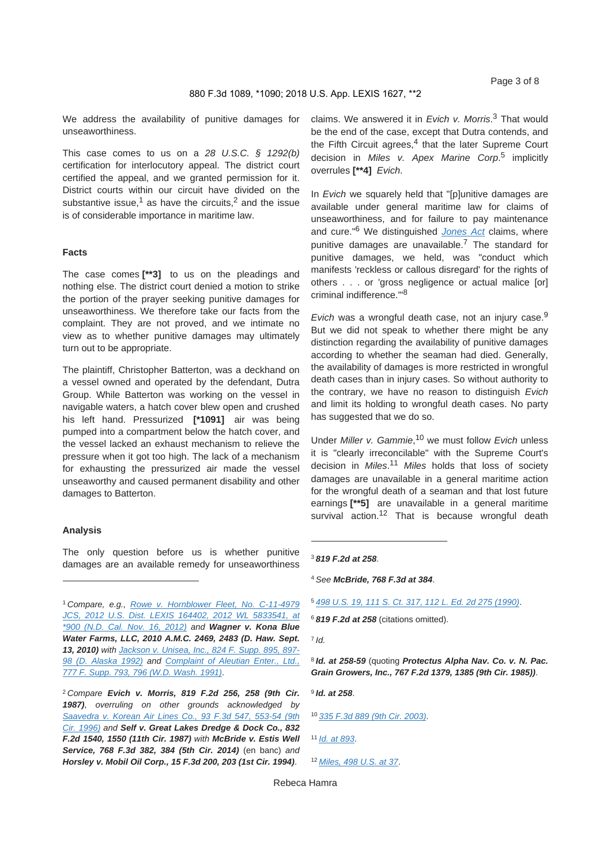We address the availability of punitive damages for unseaworthiness.

This case comes to us on a *28 U.S.C. § 1292(b)* certification for interlocutory appeal. The district court certified the appeal, and we granted permission for it. District courts within our circuit have divided on the substantive issue,<sup>1</sup> as have the circuits,<sup>2</sup> and the issue is of considerable importance in maritime law.

#### **Facts**

The case comes **[\*\*3]** to us on the pleadings and nothing else. The district court denied a motion to strike the portion of the prayer seeking punitive damages for unseaworthiness. We therefore take our facts from the complaint. They are not proved, and we intimate no view as to whether punitive damages may ultimately turn out to be appropriate.

The plaintiff, Christopher Batterton, was a deckhand on a vessel owned and operated by the defendant, Dutra Group. While Batterton was working on the vessel in navigable waters, a hatch cover blew open and crushed his left hand. Pressurized **[\*1091]** air was being pumped into a compartment below the hatch cover, and the vessel lacked an exhaust mechanism to relieve the pressure when it got too high. The lack of a mechanism for exhausting the pressurized air made the vessel unseaworthy and caused permanent disability and other damages to Batterton.

#### **Analysis**

The only question before us is whether punitive damages are an available remedy for unseaworthiness

<sup>1</sup>*Compare, e.g., Rowe v. Hornblower Fleet, No. C-11-4979 JCS, 2012 U.S. Dist. LEXIS 164402, 2012 WL 5833541, at \*900 (N.D. Cal. Nov. 16, 2012) and Wagner v. Kona Blue Water Farms, LLC, 2010 A.M.C. 2469, 2483 (D. Haw. Sept. 13, 2010) with Jackson v. Unisea, Inc., 824 F. Supp. 895, 897- 98 (D. Alaska 1992) and Complaint of Aleutian Enter., Ltd., 777 F. Supp. 793, 796 (W.D. Wash. 1991)*.

<sup>2</sup>*Compare Evich v. Morris, 819 F.2d 256, 258 (9th Cir. 1987)*, *overruling on other grounds acknowledged by Saavedra v. Korean Air Lines Co., 93 F.3d 547, 553-54 (9th Cir. 1996) and Self v. Great Lakes Dredge & Dock Co., 832 F.2d 1540, 1550 (11th Cir. 1987) with McBride v. Estis Well Service, 768 F.3d 382, 384 (5th Cir. 2014)* (en banc) *and Horsley v. Mobil Oil Corp., 15 F.3d 200, 203 (1st Cir. 1994)*.

claims. We answered it in *Evich v. Morris*. 3 That would be the end of the case, except that Dutra contends, and the Fifth Circuit agrees, $4$  that the later Supreme Court decision in *Miles v. Apex Marine Corp*. 5 implicitly overrules **[\*\*4]** *Evich*.

In *Evich* we squarely held that "[p]unitive damages are available under general maritime law for claims of unseaworthiness, and for failure to pay maintenance and cure."6 We distinguished *Jones Act* claims, where punitive damages are unavailable.<sup>7</sup> The standard for punitive damages, we held, was "conduct which manifests 'reckless or callous disregard' for the rights of others . . . or 'gross negligence or actual malice [or] criminal indifference.'"<sup>8</sup>

*Evich* was a wrongful death case, not an injury case.<sup>9</sup> But we did not speak to whether there might be any distinction regarding the availability of punitive damages according to whether the seaman had died. Generally, the availability of damages is more restricted in wrongful death cases than in injury cases. So without authority to the contrary, we have no reason to distinguish *Evich* and limit its holding to wrongful death cases. No party has suggested that we do so.

Under *Miller v. Gammie*, 10 we must follow *Evich* unless it is "clearly irreconcilable" with the Supreme Court's decision in *Miles*. <sup>11</sup> *Miles* holds that loss of society damages are unavailable in a general maritime action for the wrongful death of a seaman and that lost future earnings **[\*\*5]** are unavailable in a general maritime survival action.<sup>12</sup> That is because wrongful death

<sup>4</sup>*See McBride, 768 F.3d at 384*.

<sup>6</sup>*819 F.2d at 258* (citations omitted).

<sup>7</sup>*Id.*

<sup>8</sup>*Id. at 258-59* (quoting *Protectus Alpha Nav. Co. v. N. Pac. Grain Growers, Inc., 767 F.2d 1379, 1385 (9th Cir. 1985))*.

<sup>9</sup>*Id. at 258*.

<sup>10</sup>*335 F.3d 889 (9th Cir. 2003)*.

<sup>11</sup>*Id. at 893*.

<sup>12</sup>*Miles, 498 U.S. at 37*.

<sup>3</sup>*819 F.2d at 258*.

<sup>5</sup>*498 U.S. 19, 111 S. Ct. 317, 112 L. Ed. 2d 275 (1990)*.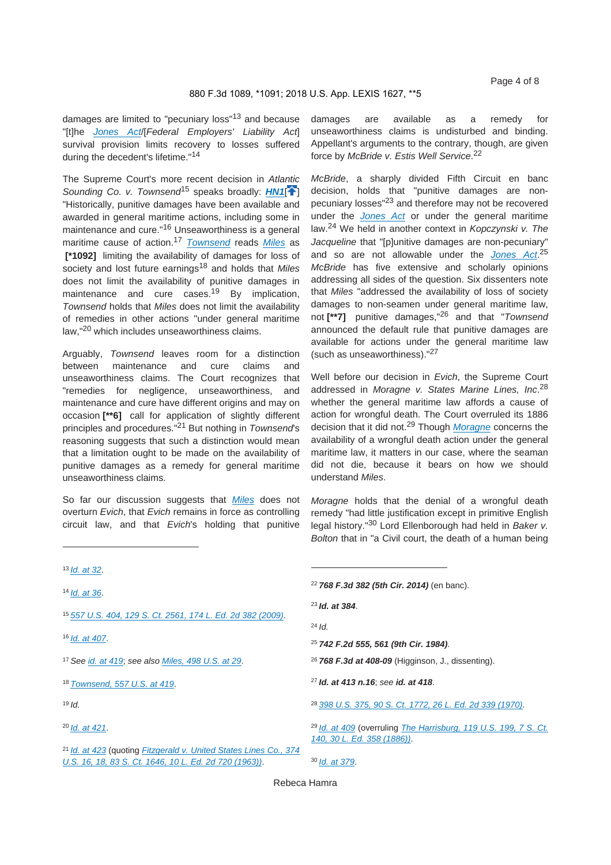damages are limited to "pecuniary loss"13 and because "[t]he *Jones Act*/[*Federal Employers' Liability Act*] survival provision limits recovery to losses suffered during the decedent's lifetime."<sup>14</sup>

The Supreme Court's more recent decision in *Atlantic*  Sounding Co. v. Townsend<sup>15</sup> speaks broadly: **HN1<sup>[4]</sup>** "Historically, punitive damages have been available and awarded in general maritime actions, including some in maintenance and cure."<sup>16</sup> Unseaworthiness is a general maritime cause of action.<sup>17</sup> *Townsend* reads *Miles* as  **[\*1092]** limiting the availability of damages for loss of society and lost future earnings<sup>18</sup> and holds that *Miles* does not limit the availability of punitive damages in maintenance and cure cases.<sup>19</sup> By implication, *Townsend* holds that *Miles* does not limit the availability of remedies in other actions "under general maritime law,"20 which includes unseaworthiness claims.

Arguably, *Townsend* leaves room for a distinction between maintenance and cure claims and unseaworthiness claims. The Court recognizes that "remedies for negligence, unseaworthiness, and maintenance and cure have different origins and may on occasion **[\*\*6]** call for application of slightly different principles and procedures."21 But nothing in *Townsend*'s reasoning suggests that such a distinction would mean that a limitation ought to be made on the availability of punitive damages as a remedy for general maritime unseaworthiness claims.

So far our discussion suggests that *Miles* does not overturn *Evich*, that *Evich* remains in force as controlling circuit law, and that *Evich*'s holding that punitive

<sup>13</sup>*Id. at 32*.

<sup>14</sup>*Id. at 36*.

<sup>15</sup>*557 U.S. 404, 129 S. Ct. 2561, 174 L. Ed. 2d 382 (2009)*.

<sup>16</sup>*Id. at 407*.

<sup>17</sup>*See id. at 419*; *see also Miles, 498 U.S. at 29*.

<sup>18</sup>*Townsend, 557 U.S. at 419*.

<sup>19</sup>*Id.*

```
20Id. at 421.
```
<sup>21</sup>*Id. at 423* (quoting *Fitzgerald v. United States Lines Co., 374 U.S. 16, 18, 83 S. Ct. 1646, 10 L. Ed. 2d 720 (1963))*.

damages are available as a remedy for unseaworthiness claims is undisturbed and binding. Appellant's arguments to the contrary, though, are given force by *McBride v. Estis Well Service*. 22

*McBride*, a sharply divided Fifth Circuit en banc decision, holds that "punitive damages are nonpecuniary losses"23 and therefore may not be recovered under the *Jones Act* or under the general maritime law.24 We held in another context in *Kopczynski v. The Jacqueline* that "[p]unitive damages are non-pecuniary" and so are not allowable under the *Jones Act*. 25 *McBride* has five extensive and scholarly opinions addressing all sides of the question. Six dissenters note that *Miles* "addressed the availability of loss of society damages to non-seamen under general maritime law, not **[\*\*7]** punitive damages,"26 and that "*Townsend* announced the default rule that punitive damages are available for actions under the general maritime law (such as unseaworthiness)."<sup>27</sup>

Well before our decision in *Evich*, the Supreme Court addressed in *Moragne v. States Marine Lines, Inc*. 28 whether the general maritime law affords a cause of action for wrongful death. The Court overruled its 1886 decision that it did not.29 Though *Moragne* concerns the availability of a wrongful death action under the general maritime law, it matters in our case, where the seaman did not die, because it bears on how we should understand *Miles*.

*Moragne* holds that the denial of a wrongful death remedy "had little justification except in primitive English legal history."30 Lord Ellenborough had held in *Baker v. Bolton* that in "a Civil court, the death of a human being

*768 F.3d 382 (5th Cir. 2014)* (en banc). *Id. at 384*. <sup>24</sup>*Id. 742 F.2d 555, 561 (9th Cir. 1984)*. *768 F.3d at 408-09* (Higginson, J., dissenting). *Id. at 413 n.16*; *see id. at 418*. *398 U.S. 375, 90 S. Ct. 1772, 26 L. Ed. 2d 339 (1970)*. *Id. at 409* (overruling *The Harrisburg, 119 U.S. 199, 7 S. Ct. 140, 30 L. Ed. 358 (1886))*. *Id. at 379*.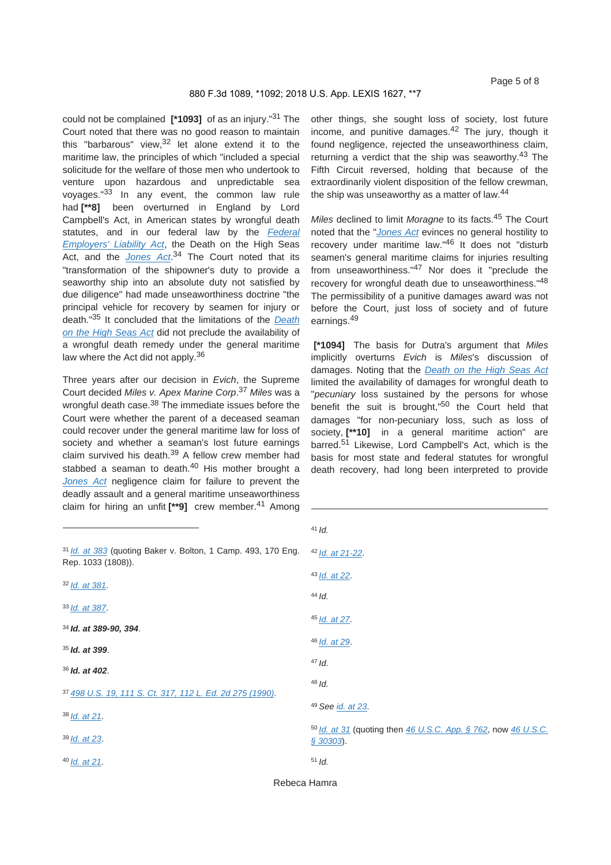could not be complained **[\*1093]** of as an injury."31 The Court noted that there was no good reason to maintain this "barbarous" view, $3^2$  let alone extend it to the maritime law, the principles of which "included a special solicitude for the welfare of those men who undertook to venture upon hazardous and unpredictable sea voyages."33 In any event, the common law rule had **[\*\*8]** been overturned in England by Lord Campbell's Act, in American states by wrongful death statutes, and in our federal law by the *Federal Employers' Liability Act*, the Death on the High Seas Act, and the *Jones Act*. 34 The Court noted that its "transformation of the shipowner's duty to provide a seaworthy ship into an absolute duty not satisfied by due diligence" had made unseaworthiness doctrine "the principal vehicle for recovery by seamen for injury or death."35 It concluded that the limitations of the *Death on the High Seas Act* did not preclude the availability of a wrongful death remedy under the general maritime law where the Act did not apply.<sup>36</sup>

Three years after our decision in *Evich*, the Supreme Court decided *Miles v. Apex Marine Corp*. <sup>37</sup> *Miles* was a wrongful death case.<sup>38</sup> The immediate issues before the Court were whether the parent of a deceased seaman could recover under the general maritime law for loss of society and whether a seaman's lost future earnings claim survived his death.39 A fellow crew member had stabbed a seaman to death.<sup>40</sup> His mother brought a *Jones Act* negligence claim for failure to prevent the deadly assault and a general maritime unseaworthiness claim for hiring an unfit **[\*\*9]** crew member.41 Among

other things, she sought loss of society, lost future income, and punitive damages.<sup>42</sup> The jury, though it found negligence, rejected the unseaworthiness claim, returning a verdict that the ship was seaworthy.<sup>43</sup> The Fifth Circuit reversed, holding that because of the extraordinarily violent disposition of the fellow crewman, the ship was unseaworthy as a matter of law.<sup>44</sup>

*Miles* declined to limit *Moragne* to its facts.45 The Court noted that the "*Jones Act* evinces no general hostility to recovery under maritime law."46 It does not "disturb seamen's general maritime claims for injuries resulting from unseaworthiness."47 Nor does it "preclude the recovery for wrongful death due to unseaworthiness."<sup>48</sup> The permissibility of a punitive damages award was not before the Court, just loss of society and of future earnings.<sup>49</sup>

 **[\*1094]** The basis for Dutra's argument that *Miles* implicitly overturns *Evich* is *Miles*'s discussion of damages. Noting that the *Death on the High Seas Act* limited the availability of damages for wrongful death to "*pecuniary* loss sustained by the persons for whose benefit the suit is brought,<sup>"50</sup> the Court held that damages "for non-pecuniary loss, such as loss of society, **[\*\*10]** in a general maritime action" are barred.<sup>51</sup> Likewise, Lord Campbell's Act, which is the basis for most state and federal statutes for wrongful death recovery, had long been interpreted to provide

|                                                                                                | $4 \cdot 10$ .                                                                |
|------------------------------------------------------------------------------------------------|-------------------------------------------------------------------------------|
| <sup>31</sup> Id. at 383 (quoting Baker v. Bolton, 1 Camp. 493, 170 Eng.<br>Rep. 1033 (1808)). | $42$ <i>ld.</i> at 21-22.                                                     |
| $32$ Id. at 381.                                                                               | $43$ <i>ld. at</i> 22.                                                        |
|                                                                                                | $44$ Id.                                                                      |
| $33$ Id. at 387.                                                                               | $45$ <i>ld. at</i> 27.                                                        |
| $34$ Id. at 389-90, 394.                                                                       |                                                                               |
| $35$ Id. at 399.                                                                               | 46 <i>Id.</i> at 29.                                                          |
| $36$ Id. at 402.                                                                               | $47$ Id.                                                                      |
|                                                                                                | $48$ Jd.                                                                      |
| 37 498 U.S. 19, 111 S. Ct. 317, 112 L. Ed. 2d 275 (1990).                                      | <sup>49</sup> See id. at 23.                                                  |
| $38$ <i>ld.</i> at 21.                                                                         |                                                                               |
| $39$ <i>ld. at</i> 23.                                                                         | 50 Id. at 31 (quoting then 46 U.S.C. App. § 762, now 46 U.S.C.<br>$$30303$ ). |
| $40$ <i>ld. at</i> 21.                                                                         | $51$ Id.                                                                      |

<sup>41</sup>*Id.*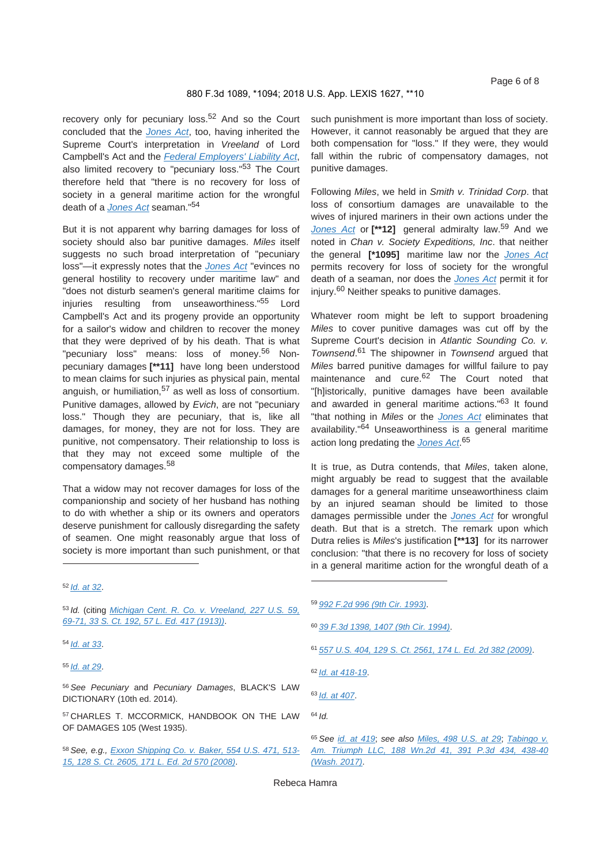recovery only for pecuniary loss.<sup>52</sup> And so the Court concluded that the *Jones Act*, too, having inherited the Supreme Court's interpretation in *Vreeland* of Lord Campbell's Act and the *Federal Employers' Liability Act*, also limited recovery to "pecuniary loss."<sup>53</sup> The Court therefore held that "there is no recovery for loss of society in a general maritime action for the wrongful death of a *Jones Act* seaman."<sup>54</sup>

But it is not apparent why barring damages for loss of society should also bar punitive damages. *Miles* itself suggests no such broad interpretation of "pecuniary loss"—it expressly notes that the *Jones Act* "evinces no general hostility to recovery under maritime law" and "does not disturb seamen's general maritime claims for injuries resulting from unseaworthiness."55 Lord Campbell's Act and its progeny provide an opportunity for a sailor's widow and children to recover the money that they were deprived of by his death. That is what "pecuniary loss" means: loss of money.<sup>56</sup> Nonpecuniary damages **[\*\*11]** have long been understood to mean claims for such injuries as physical pain, mental anguish, or humiliation,  $57$  as well as loss of consortium. Punitive damages, allowed by *Evich*, are not "pecuniary loss." Though they are pecuniary, that is, like all damages, for money, they are not for loss. They are punitive, not compensatory. Their relationship to loss is that they may not exceed some multiple of the compensatory damages.<sup>58</sup>

That a widow may not recover damages for loss of the companionship and society of her husband has nothing to do with whether a ship or its owners and operators deserve punishment for callously disregarding the safety of seamen. One might reasonably argue that loss of society is more important than such punishment, or that such punishment is more important than loss of society. However, it cannot reasonably be argued that they are both compensation for "loss." If they were, they would fall within the rubric of compensatory damages, not punitive damages.

Following *Miles*, we held in *Smith v. Trinidad Corp*. that loss of consortium damages are unavailable to the wives of injured mariners in their own actions under the *Jones Act* or **[\*\*12]** general admiralty law.59 And we noted in *Chan v. Society Expeditions, Inc*. that neither the general **[\*1095]** maritime law nor the *Jones Act* permits recovery for loss of society for the wrongful death of a seaman, nor does the *Jones Act* permit it for injury.60 Neither speaks to punitive damages.

Whatever room might be left to support broadening *Miles* to cover punitive damages was cut off by the Supreme Court's decision in *Atlantic Sounding Co. v. Townsend*. 61 The shipowner in *Townsend* argued that *Miles* barred punitive damages for willful failure to pay maintenance and cure.<sup>62</sup> The Court noted that "[h]istorically, punitive damages have been available and awarded in general maritime actions."<sup>63</sup> It found "that nothing in *Miles* or the *Jones Act* eliminates that availability."64 Unseaworthiness is a general maritime action long predating the *Jones Act*. 65

It is true, as Dutra contends, that *Miles*, taken alone, might arguably be read to suggest that the available damages for a general maritime unseaworthiness claim by an injured seaman should be limited to those damages permissible under the *Jones Act* for wrongful death. But that is a stretch. The remark upon which Dutra relies is *Miles*'s justification **[\*\*13]** for its narrower conclusion: "that there is no recovery for loss of society in a general maritime action for the wrongful death of a

<sup>53</sup>*Id.* (citing *Michigan Cent. R. Co. v. Vreeland, 227 U.S. 59, 69-71, 33 S. Ct. 192, 57 L. Ed. 417 (1913))*.

<sup>54</sup>*Id. at 33*.

<sup>56</sup>*See Pecuniary* and *Pecuniary Damages*, BLACK'S LAW DICTIONARY (10th ed. 2014).

57 CHARLES T. MCCORMICK, HANDBOOK ON THE LAW OF DAMAGES 105 (West 1935).

- <sup>60</sup>*39 F.3d 1398, 1407 (9th Cir. 1994)*.
- <sup>61</sup>*557 U.S. 404, 129 S. Ct. 2561, 174 L. Ed. 2d 382 (2009)*.

<sup>64</sup>*Id.*

<sup>52</sup>*Id. at 32*.

<sup>55</sup>*Id. at 29*.

<sup>58</sup>*See, e.g., Exxon Shipping Co. v. Baker, 554 U.S. 471, 513- 15, 128 S. Ct. 2605, 171 L. Ed. 2d 570 (2008)*.

<sup>59</sup>*992 F.2d 996 (9th Cir. 1993)*.

<sup>62</sup>*Id. at 418-19*.

<sup>63</sup>*Id. at 407*.

<sup>65</sup>*See id. at 419*; *see also Miles, 498 U.S. at 29*; *Tabingo v. Am. Triumph LLC, 188 Wn.2d 41, 391 P.3d 434, 438-40 (Wash. 2017)*.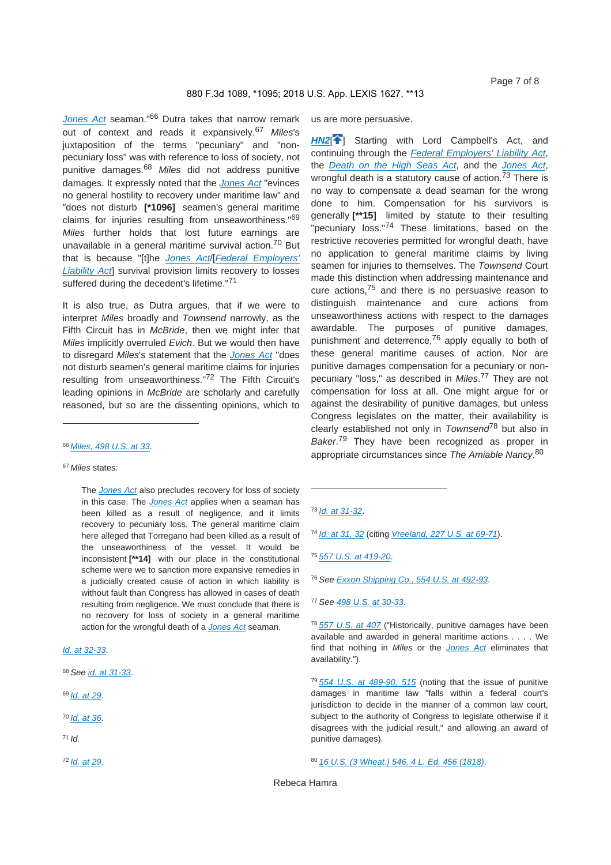*Jones Act* seaman."66 Dutra takes that narrow remark out of context and reads it expansively.<sup>67</sup> *Miles*'s juxtaposition of the terms "pecuniary" and "nonpecuniary loss" was with reference to loss of society, not punitive damages.<sup>68</sup> *Miles* did not address punitive damages. It expressly noted that the *Jones Act* "evinces no general hostility to recovery under maritime law" and "does not disturb **[\*1096]** seamen's general maritime claims for injuries resulting from unseaworthiness."<sup>69</sup> *Miles* further holds that lost future earnings are unavailable in a general maritime survival action.<sup>70</sup> But that is because "[t]he *Jones Act*/[*Federal Employers' Liability Act*] survival provision limits recovery to losses suffered during the decedent's lifetime."<sup>71</sup>

It is also true, as Dutra argues, that if we were to interpret *Miles* broadly and *Townsend* narrowly, as the Fifth Circuit has in *McBride*, then we might infer that *Miles* implicitly overruled *Evich*. But we would then have to disregard *Miles*'s statement that the *Jones Act* "does not disturb seamen's general maritime claims for injuries resulting from unseaworthiness."72 The Fifth Circuit's leading opinions in *McBride* are scholarly and carefully reasoned, but so are the dissenting opinions, which to

#### <sup>67</sup>*Miles* states:

The *Jones Act* also precludes recovery for loss of society in this case. The *Jones Act* applies when a seaman has been killed as a result of negligence, and it limits recovery to pecuniary loss. The general maritime claim here alleged that Torregano had been killed as a result of the unseaworthiness of the vessel. It would be inconsistent **[\*\*14]** with our place in the constitutional scheme were we to sanction more expansive remedies in a judicially created cause of action in which liability is without fault than Congress has allowed in cases of death resulting from negligence. We must conclude that there is no recovery for loss of society in a general maritime action for the wrongful death of a *Jones Act* seaman.

#### *Id. at 32-33*.

- <sup>68</sup>*See id. at 31-33*.
- <sup>69</sup>*Id. at 29*.
- <sup>70</sup>*Id. at 36*.
- <sup>71</sup>*Id.*

us are more persuasive.

**HN2<sup>[4]</sup>** Starting with Lord Campbell's Act, and continuing through the *Federal Employers' Liability Act*, the *Death on the High Seas Act*, and the *Jones Act*, wrongful death is a statutory cause of action.<sup>73</sup> There is no way to compensate a dead seaman for the wrong done to him. Compensation for his survivors is generally **[\*\*15]** limited by statute to their resulting "pecuniary loss."<sup>74</sup> These limitations, based on the restrictive recoveries permitted for wrongful death, have no application to general maritime claims by living seamen for injuries to themselves. The *Townsend* Court made this distinction when addressing maintenance and cure actions,75 and there is no persuasive reason to distinguish maintenance and cure actions from unseaworthiness actions with respect to the damages awardable. The purposes of punitive damages, punishment and deterrence,76 apply equally to both of these general maritime causes of action. Nor are punitive damages compensation for a pecuniary or nonpecuniary "loss," as described in *Miles*. 77 They are not compensation for loss at all. One might argue for or against the desirability of punitive damages, but unless Congress legislates on the matter, their availability is clearly established not only in *Townsend*78 but also in *Baker*. 79 They have been recognized as proper in appropriate circumstances since *The Amiable Nancy*. 80

<sup>76</sup>*See Exxon Shipping Co., 554 U.S. at 492-93*.

<sup>79</sup>*554 U.S. at 489-90, 515* (noting that the issue of punitive damages in maritime law "falls within a federal court's jurisdiction to decide in the manner of a common law court, subject to the authority of Congress to legislate otherwise if it disagrees with the judicial result," and allowing an award of punitive damages).

```
8016 U.S. (3 Wheat.) 546, 4 L. Ed. 456 (1818).
```
<sup>66</sup>*Miles, 498 U.S. at 33*.

<sup>72</sup>*Id. at 29*.

<sup>73</sup>*Id. at 31-32*.

<sup>74</sup>*Id. at 31, 32* (citing *Vreeland, 227 U.S. at 69-71*).

<sup>75</sup>*557 U.S. at 419-20*.

<sup>77</sup>*See 498 U.S. at 30-33*.

<sup>78</sup>*557 U.S. at 407* ("Historically, punitive damages have been available and awarded in general maritime actions . . . . We find that nothing in *Miles* or the *Jones Act* eliminates that availability.").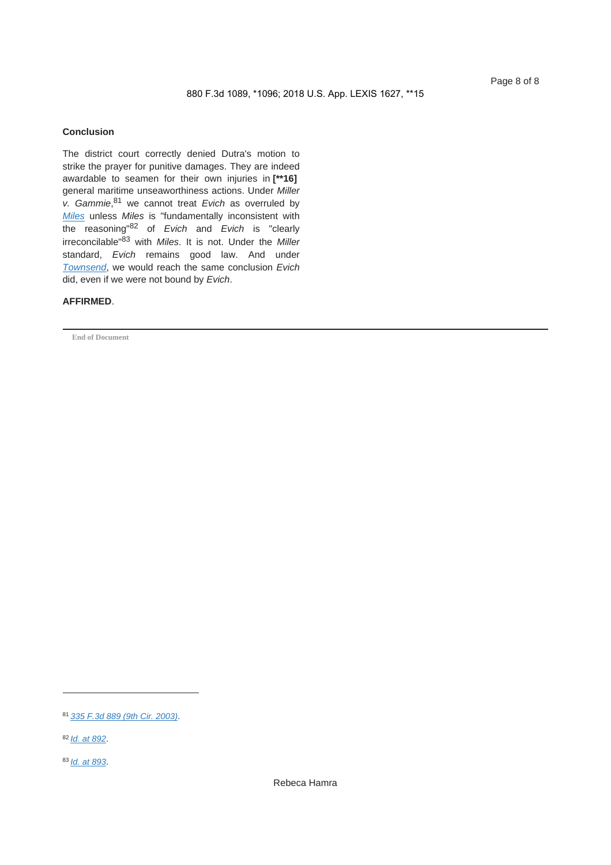#### **Conclusion**

The district court correctly denied Dutra's motion to strike the prayer for punitive damages. They are indeed awardable to seamen for their own injuries in **[\*\*16]**  general maritime unseaworthiness actions. Under *Miller v. Gammie*, 81 we cannot treat *Evich* as overruled by *Miles* unless *Miles* is "fundamentally inconsistent with the reasoning"82 of *Evich* and *Evich* is "clearly irreconcilable"83 with *Miles*. It is not. Under the *Miller* standard, *Evich* remains good law. And under *Townsend*, we would reach the same conclusion *Evich* did, even if we were not bound by *Evich*.

#### **AFFIRMED**.

**End of Document**

<sup>81</sup>*335 F.3d 889 (9th Cir. 2003)*.

<sup>82</sup>*Id. at 892*.

<sup>83</sup>*Id. at 893*.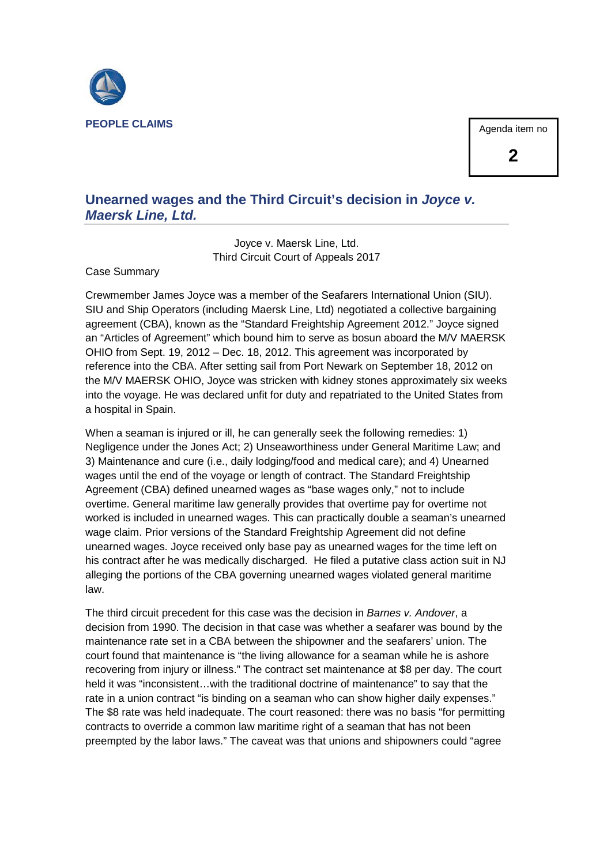

#### Agenda item no

#### **Unearned wages and the Third Circuit's decision in** *Joyce v. Maersk Line, Ltd.*

Joyce v. Maersk Line, Ltd. Third Circuit Court of Appeals 2017

Case Summary

Crewmember James Joyce was a member of the Seafarers International Union (SIU). SIU and Ship Operators (including Maersk Line, Ltd) negotiated a collective bargaining agreement (CBA), known as the "Standard Freightship Agreement 2012." Joyce signed an "Articles of Agreement" which bound him to serve as bosun aboard the M/V MAERSK OHIO from Sept. 19, 2012 – Dec. 18, 2012. This agreement was incorporated by reference into the CBA. After setting sail from Port Newark on September 18, 2012 on the M/V MAERSK OHIO, Joyce was stricken with kidney stones approximately six weeks into the voyage. He was declared unfit for duty and repatriated to the United States from a hospital in Spain.

When a seaman is injured or ill, he can generally seek the following remedies: 1) Negligence under the Jones Act; 2) Unseaworthiness under General Maritime Law; and 3) Maintenance and cure (i.e., daily lodging/food and medical care); and 4) Unearned wages until the end of the voyage or length of contract. The Standard Freightship Agreement (CBA) defined unearned wages as "base wages only," not to include overtime. General maritime law generally provides that overtime pay for overtime not worked is included in unearned wages. This can practically double a seaman's unearned wage claim. Prior versions of the Standard Freightship Agreement did not define unearned wages. Joyce received only base pay as unearned wages for the time left on his contract after he was medically discharged. He filed a putative class action suit in NJ alleging the portions of the CBA governing unearned wages violated general maritime law.

The third circuit precedent for this case was the decision in *Barnes v. Andover*, a decision from 1990. The decision in that case was whether a seafarer was bound by the maintenance rate set in a CBA between the shipowner and the seafarers' union. The court found that maintenance is "the living allowance for a seaman while he is ashore recovering from injury or illness." The contract set maintenance at \$8 per day. The court held it was "inconsistent…with the traditional doctrine of maintenance" to say that the rate in a union contract "is binding on a seaman who can show higher daily expenses." The \$8 rate was held inadequate. The court reasoned: there was no basis "for permitting contracts to override a common law maritime right of a seaman that has not been preempted by the labor laws." The caveat was that unions and shipowners could "agree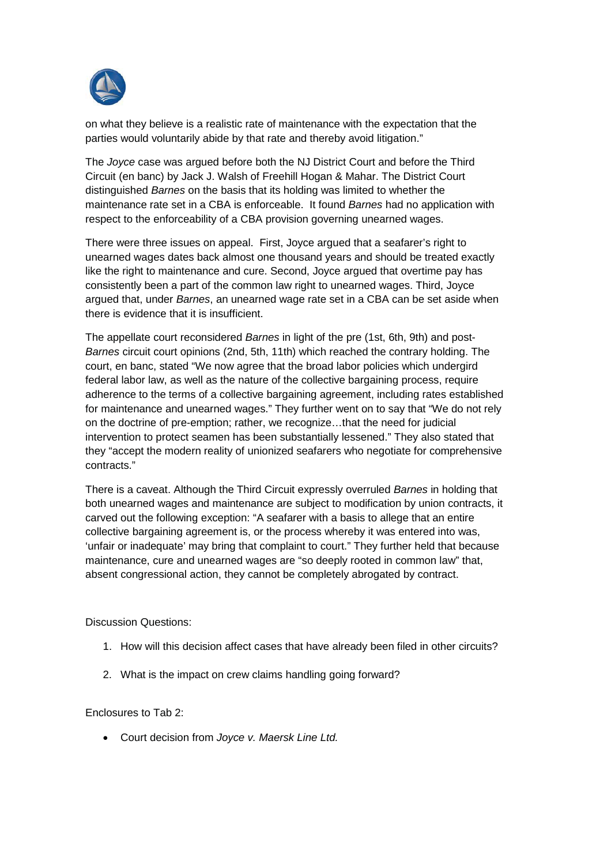

on what they believe is a realistic rate of maintenance with the expectation that the parties would voluntarily abide by that rate and thereby avoid litigation."

The *Joyce* case was argued before both the NJ District Court and before the Third Circuit (en banc) by Jack J. Walsh of Freehill Hogan & Mahar. The District Court distinguished *Barnes* on the basis that its holding was limited to whether the maintenance rate set in a CBA is enforceable. It found *Barnes* had no application with respect to the enforceability of a CBA provision governing unearned wages.

There were three issues on appeal. First, Joyce argued that a seafarer's right to unearned wages dates back almost one thousand years and should be treated exactly like the right to maintenance and cure. Second, Joyce argued that overtime pay has consistently been a part of the common law right to unearned wages. Third, Joyce argued that, under *Barnes*, an unearned wage rate set in a CBA can be set aside when there is evidence that it is insufficient.

The appellate court reconsidered *Barnes* in light of the pre (1st, 6th, 9th) and post-*Barnes* circuit court opinions (2nd, 5th, 11th) which reached the contrary holding. The court, en banc, stated "We now agree that the broad labor policies which undergird federal labor law, as well as the nature of the collective bargaining process, require adherence to the terms of a collective bargaining agreement, including rates established for maintenance and unearned wages." They further went on to say that "We do not rely on the doctrine of pre-emption; rather, we recognize…that the need for judicial intervention to protect seamen has been substantially lessened." They also stated that they "accept the modern reality of unionized seafarers who negotiate for comprehensive contracts."

There is a caveat. Although the Third Circuit expressly overruled *Barnes* in holding that both unearned wages and maintenance are subject to modification by union contracts, it carved out the following exception: "A seafarer with a basis to allege that an entire collective bargaining agreement is, or the process whereby it was entered into was, 'unfair or inadequate' may bring that complaint to court." They further held that because maintenance, cure and unearned wages are "so deeply rooted in common law" that, absent congressional action, they cannot be completely abrogated by contract.

Discussion Questions:

- 1. How will this decision affect cases that have already been filed in other circuits?
- 2. What is the impact on crew claims handling going forward?

#### Enclosures to Tab 2:

x Court decision from *Joyce v. Maersk Line Ltd.*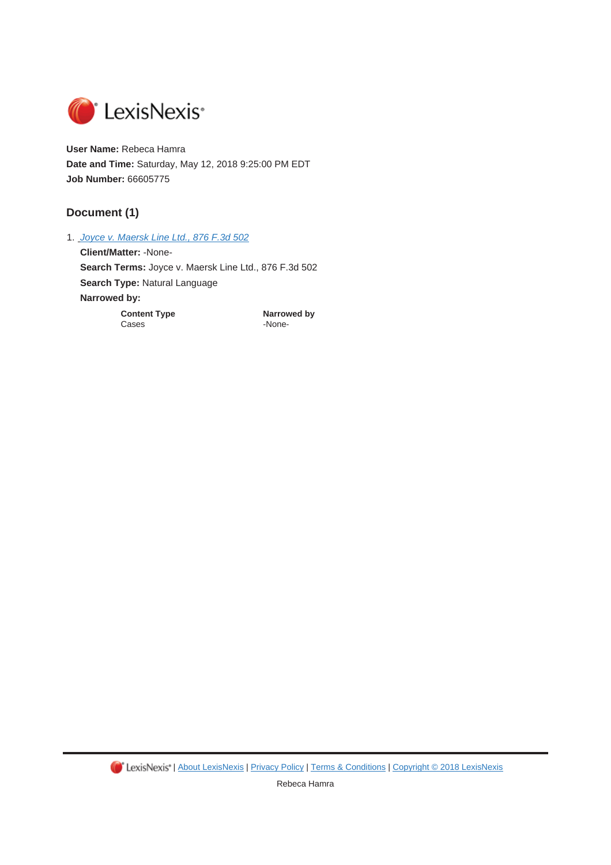

**User Name:** Rebeca Hamra **Date and Time:** Saturday, May 12, 2018 9:25:00 PM EDT **Job Number:** 66605775

#### **Document (1)**

1. *Joyce v. Maersk Line Ltd., 876 F.3d 502*

**Client/Matter:** -None-**Search Terms:** Joyce v. Maersk Line Ltd., 876 F.3d 502 **Search Type:** Natural Language **Narrowed by: Content Type <b>Content Type Narrowed by**<br>Cases **Cases** 

-None-

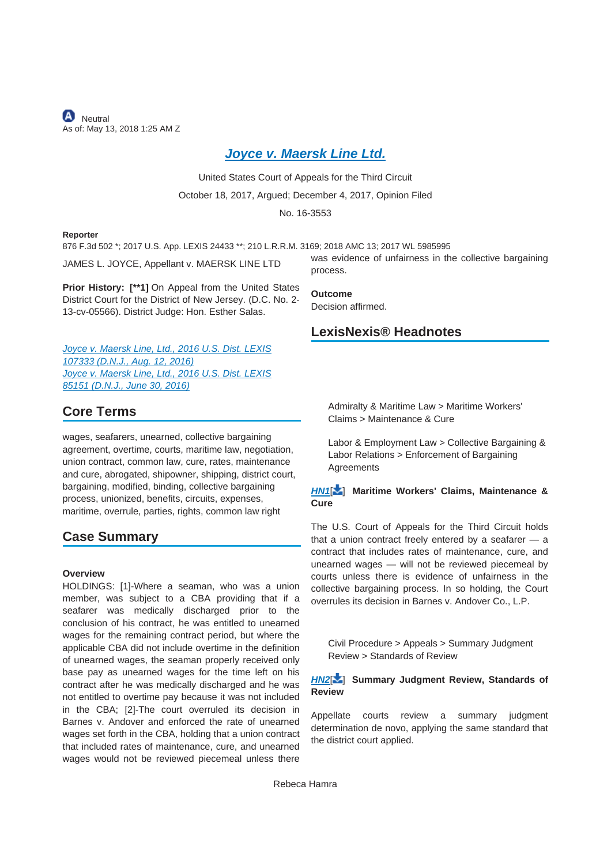**A** Neutral As of: May 13, 2018 1:25 AM Z

#### *Joyce v. Maersk Line Ltd.*

United States Court of Appeals for the Third Circuit

October 18, 2017, Argued; December 4, 2017, Opinion Filed

No. 16-3553

#### **Reporter**

876 F.3d 502 \*; 2017 U.S. App. LEXIS 24433 \*\*; 210 L.R.R.M. 3169; 2018 AMC 13; 2017 WL 5985995

JAMES L. JOYCE, Appellant v. MAERSK LINE LTD

**Prior History: [\*\*1]** On Appeal from the United States District Court for the District of New Jersey. (D.C. No. 2- 13-cv-05566). District Judge: Hon. Esther Salas.

*Joyce v. Maersk Line, Ltd., 2016 U.S. Dist. LEXIS 107333 (D.N.J., Aug. 12, 2016) Joyce v. Maersk Line, Ltd., 2016 U.S. Dist. LEXIS 85151 (D.N.J., June 30, 2016)*

#### **Core Terms**

wages, seafarers, unearned, collective bargaining agreement, overtime, courts, maritime law, negotiation, union contract, common law, cure, rates, maintenance and cure, abrogated, shipowner, shipping, district court, bargaining, modified, binding, collective bargaining process, unionized, benefits, circuits, expenses, maritime, overrule, parties, rights, common law right

#### **Case Summary**

#### **Overview**

HOLDINGS: [1]-Where a seaman, who was a union member, was subject to a CBA providing that if a seafarer was medically discharged prior to the conclusion of his contract, he was entitled to unearned wages for the remaining contract period, but where the applicable CBA did not include overtime in the definition of unearned wages, the seaman properly received only base pay as unearned wages for the time left on his contract after he was medically discharged and he was not entitled to overtime pay because it was not included in the CBA; [2]-The court overruled its decision in Barnes v. Andover and enforced the rate of unearned wages set forth in the CBA, holding that a union contract that included rates of maintenance, cure, and unearned wages would not be reviewed piecemeal unless there

was evidence of unfairness in the collective bargaining process.

**Outcome** Decision affirmed.

#### **LexisNexis® Headnotes**

Admiralty & Maritime Law > Maritime Workers' Claims > Maintenance & Cure

Labor & Employment Law > Collective Bargaining & Labor Relations > Enforcement of Bargaining **Agreements** 

#### *HN1*[ ] **Maritime Workers' Claims, Maintenance & Cure**

The U.S. Court of Appeals for the Third Circuit holds that a union contract freely entered by a seafarer — a contract that includes rates of maintenance, cure, and unearned wages — will not be reviewed piecemeal by courts unless there is evidence of unfairness in the collective bargaining process. In so holding, the Court overrules its decision in Barnes v. Andover Co., L.P.

Civil Procedure > Appeals > Summary Judgment Review > Standards of Review

#### *HN2*[ ] **Summary Judgment Review, Standards of Review**

Appellate courts review a summary judgment determination de novo, applying the same standard that the district court applied.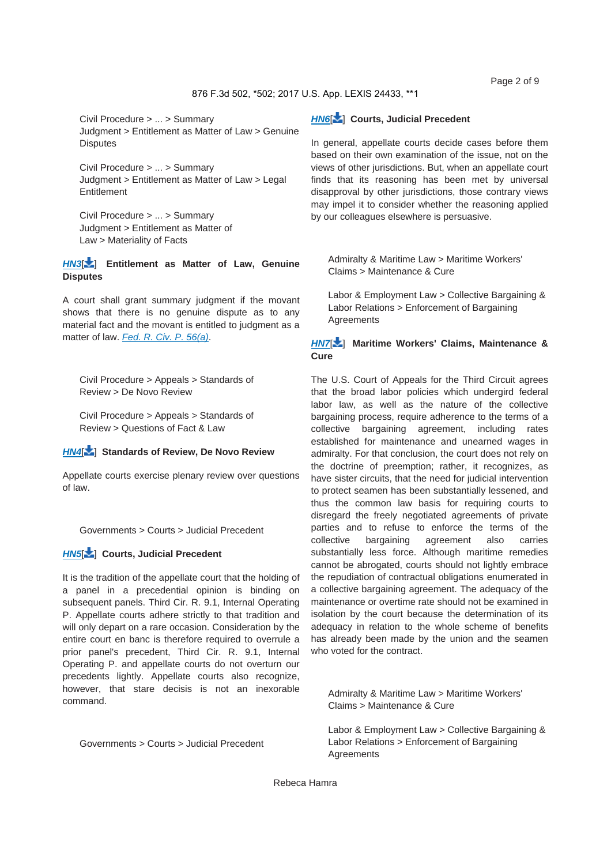Page 2 of 9

#### 876 F.3d 502, \*502; 2017 U.S. App. LEXIS 24433, \*\*1

Civil Procedure > ... > Summary Judgment > Entitlement as Matter of Law > Genuine **Disputes** 

Civil Procedure > ... > Summary Judgment > Entitlement as Matter of Law > Legal **Entitlement** 

Civil Procedure > ... > Summary Judgment > Entitlement as Matter of Law > Materiality of Facts

#### *HN3*[ ] **Entitlement as Matter of Law, Genuine Disputes**

A court shall grant summary judgment if the movant shows that there is no genuine dispute as to any material fact and the movant is entitled to judgment as a matter of law. *Fed. R. Civ. P. 56(a)*.

Civil Procedure > Appeals > Standards of Review > De Novo Review

Civil Procedure > Appeals > Standards of Review > Questions of Fact & Law

#### *HN4*[ ] **Standards of Review, De Novo Review**

Appellate courts exercise plenary review over questions of law.

Governments > Courts > Judicial Precedent

#### *HN5*[ ] **Courts, Judicial Precedent**

It is the tradition of the appellate court that the holding of a panel in a precedential opinion is binding on subsequent panels. Third Cir. R. 9.1, Internal Operating P. Appellate courts adhere strictly to that tradition and will only depart on a rare occasion. Consideration by the entire court en banc is therefore required to overrule a prior panel's precedent, Third Cir. R. 9.1, Internal Operating P. and appellate courts do not overturn our precedents lightly. Appellate courts also recognize, however, that stare decisis is not an inexorable command.

*HN6*[ ] **Courts, Judicial Precedent**

In general, appellate courts decide cases before them based on their own examination of the issue, not on the views of other jurisdictions. But, when an appellate court finds that its reasoning has been met by universal disapproval by other jurisdictions, those contrary views may impel it to consider whether the reasoning applied by our colleagues elsewhere is persuasive.

Admiralty & Maritime Law > Maritime Workers' Claims > Maintenance & Cure

Labor & Employment Law > Collective Bargaining & Labor Relations > Enforcement of Bargaining **Agreements** 

*HN7*[ ] **Maritime Workers' Claims, Maintenance & Cure**

The U.S. Court of Appeals for the Third Circuit agrees that the broad labor policies which undergird federal labor law, as well as the nature of the collective bargaining process, require adherence to the terms of a collective bargaining agreement, including rates established for maintenance and unearned wages in admiralty. For that conclusion, the court does not rely on the doctrine of preemption; rather, it recognizes, as have sister circuits, that the need for judicial intervention to protect seamen has been substantially lessened, and thus the common law basis for requiring courts to disregard the freely negotiated agreements of private parties and to refuse to enforce the terms of the collective bargaining agreement also carries substantially less force. Although maritime remedies cannot be abrogated, courts should not lightly embrace the repudiation of contractual obligations enumerated in a collective bargaining agreement. The adequacy of the maintenance or overtime rate should not be examined in isolation by the court because the determination of its adequacy in relation to the whole scheme of benefits has already been made by the union and the seamen who voted for the contract.

Admiralty & Maritime Law > Maritime Workers' Claims > Maintenance & Cure

Labor & Employment Law > Collective Bargaining & Labor Relations > Enforcement of Bargaining Agreements

Governments > Courts > Judicial Precedent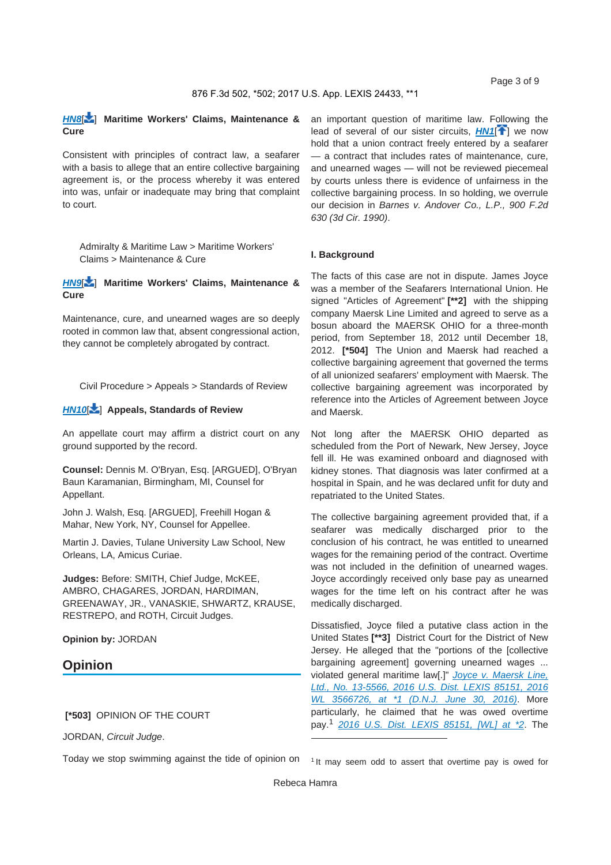*HN8*[ ] **Maritime Workers' Claims, Maintenance & Cure**

Consistent with principles of contract law, a seafarer with a basis to allege that an entire collective bargaining agreement is, or the process whereby it was entered into was, unfair or inadequate may bring that complaint to court.

Admiralty & Maritime Law > Maritime Workers' Claims > Maintenance & Cure

*HN9*[ ] **Maritime Workers' Claims, Maintenance & Cure**

Maintenance, cure, and unearned wages are so deeply rooted in common law that, absent congressional action, they cannot be completely abrogated by contract.

Civil Procedure > Appeals > Standards of Review

#### *HN10*[ ] **Appeals, Standards of Review**

An appellate court may affirm a district court on any ground supported by the record.

**Counsel:** Dennis M. O'Bryan, Esq. [ARGUED], O'Bryan Baun Karamanian, Birmingham, MI, Counsel for Appellant.

John J. Walsh, Esq. [ARGUED], Freehill Hogan & Mahar, New York, NY, Counsel for Appellee.

Martin J. Davies, Tulane University Law School, New Orleans, LA, Amicus Curiae.

**Judges:** Before: SMITH, Chief Judge, McKEE, AMBRO, CHAGARES, JORDAN, HARDIMAN, GREENAWAY, JR., VANASKIE, SHWARTZ, KRAUSE, RESTREPO, and ROTH, Circuit Judges.

**Opinion by:** JORDAN

#### **Opinion**

#### **[\*503]** OPINION OF THE COURT

JORDAN, *Circuit Judge*.

Today we stop swimming against the tide of opinion on

an important question of maritime law. Following the lead of several of our sister circuits, **HN1<sup>[4]</sup>** we now hold that a union contract freely entered by a seafarer — a contract that includes rates of maintenance, cure, and unearned wages — will not be reviewed piecemeal by courts unless there is evidence of unfairness in the collective bargaining process. In so holding, we overrule our decision in *Barnes v. Andover Co., L.P., 900 F.2d 630 (3d Cir. 1990)*.

#### **I. Background**

The facts of this case are not in dispute. James Joyce was a member of the Seafarers International Union. He signed "Articles of Agreement" **[\*\*2]** with the shipping company Maersk Line Limited and agreed to serve as a bosun aboard the MAERSK OHIO for a three-month period, from September 18, 2012 until December 18, 2012. **[\*504]** The Union and Maersk had reached a collective bargaining agreement that governed the terms of all unionized seafarers' employment with Maersk. The collective bargaining agreement was incorporated by reference into the Articles of Agreement between Joyce and Maersk.

Not long after the MAERSK OHIO departed as scheduled from the Port of Newark, New Jersey, Joyce fell ill. He was examined onboard and diagnosed with kidney stones. That diagnosis was later confirmed at a hospital in Spain, and he was declared unfit for duty and repatriated to the United States.

The collective bargaining agreement provided that, if a seafarer was medically discharged prior to the conclusion of his contract, he was entitled to unearned wages for the remaining period of the contract. Overtime was not included in the definition of unearned wages. Joyce accordingly received only base pay as unearned wages for the time left on his contract after he was medically discharged.

Dissatisfied, Joyce filed a putative class action in the United States **[\*\*3]** District Court for the District of New Jersey. He alleged that the "portions of the [collective bargaining agreement] governing unearned wages ... violated general maritime law[.]" *Joyce v. Maersk Line, Ltd., No. 13-5566, 2016 U.S. Dist. LEXIS 85151, 2016 WL 3566726, at \*1 (D.N.J. June 30, 2016)*. More particularly, he claimed that he was owed overtime pay.<sup>1</sup> *2016 U.S. Dist. LEXIS 85151, [WL] at \*2*. The

<sup>1</sup> It may seem odd to assert that overtime pay is owed for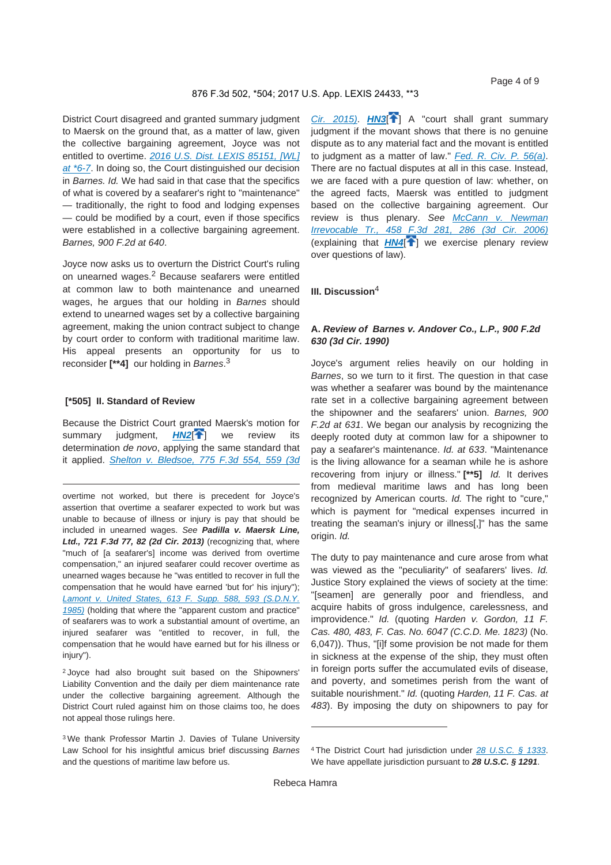District Court disagreed and granted summary judgment to Maersk on the ground that, as a matter of law, given the collective bargaining agreement, Joyce was not entitled to overtime. *2016 U.S. Dist. LEXIS 85151, [WL] at \*6-7*. In doing so, the Court distinguished our decision in *Barnes. Id.* We had said in that case that the specifics of what is covered by a seafarer's right to "maintenance" — traditionally, the right to food and lodging expenses — could be modified by a court, even if those specifics were established in a collective bargaining agreement. *Barnes, 900 F.2d at 640*.

Joyce now asks us to overturn the District Court's ruling on unearned wages.<sup>2</sup> Because seafarers were entitled at common law to both maintenance and unearned wages, he argues that our holding in *Barnes* should extend to unearned wages set by a collective bargaining agreement, making the union contract subject to change by court order to conform with traditional maritime law. His appeal presents an opportunity for us to reconsider **[\*\*4]** our holding in *Barnes*. 3

#### **[\*505] II. Standard of Review**

Because the District Court granted Maersk's motion for summary judgment, **HN2<sup>[4</sup>]** we review its determination *de novo*, applying the same standard that it applied. *Shelton v. Bledsoe, 775 F.3d 554, 559 (3d* 

overtime not worked, but there is precedent for Joyce's assertion that overtime a seafarer expected to work but was unable to because of illness or injury is pay that should be included in unearned wages. *See Padilla v. Maersk Line, Ltd., 721 F.3d 77, 82 (2d Cir. 2013)* (recognizing that, where "much of [a seafarer's] income was derived from overtime compensation," an injured seafarer could recover overtime as unearned wages because he "was entitled to recover in full the compensation that he would have earned 'but for' his injury"); *Lamont v. United States, 613 F. Supp. 588, 593 (S.D.N.Y. 1985)* (holding that where the "apparent custom and practice" of seafarers was to work a substantial amount of overtime, an injured seafarer was "entitled to recover, in full, the compensation that he would have earned but for his illness or injury").

2 Joyce had also brought suit based on the Shipowners' Liability Convention and the daily per diem maintenance rate under the collective bargaining agreement. Although the District Court ruled against him on those claims too, he does not appeal those rulings here.

3 We thank Professor Martin J. Davies of Tulane University Law School for his insightful amicus brief discussing *Barnes* and the questions of maritime law before us.

*Cir. 2015*). **HN3**<sup><sup>1</sup><sub>1</sub></sub> A "court shall grant summary</sup> judgment if the movant shows that there is no genuine dispute as to any material fact and the movant is entitled to judgment as a matter of law." *Fed. R. Civ. P. 56(a)*. There are no factual disputes at all in this case. Instead, we are faced with a pure question of law: whether, on the agreed facts, Maersk was entitled to judgment based on the collective bargaining agreement. Our review is thus plenary. *See McCann v. Newman Irrevocable Tr., 458 F.3d 281, 286 (3d Cir. 2006)* (explaining that *HN4*[ ] we exercise plenary review over questions of law).

#### **III. Discussion**<sup>4</sup>

#### **A.** *Review of**Barnes v. Andover Co., L.P., 900 F.2d 630 (3d Cir. 1990)*

Joyce's argument relies heavily on our holding in *Barnes*, so we turn to it first. The question in that case was whether a seafarer was bound by the maintenance rate set in a collective bargaining agreement between the shipowner and the seafarers' union. *Barnes, 900 F.2d at 631*. We began our analysis by recognizing the deeply rooted duty at common law for a shipowner to pay a seafarer's maintenance. *Id. at 633*. "Maintenance is the living allowance for a seaman while he is ashore recovering from injury or illness." **[\*\*5]** *Id.* It derives from medieval maritime laws and has long been recognized by American courts. *Id.* The right to "cure," which is payment for "medical expenses incurred in treating the seaman's injury or illness[,]" has the same origin. *Id.*

The duty to pay maintenance and cure arose from what was viewed as the "peculiarity" of seafarers' lives. *Id.* Justice Story explained the views of society at the time: "[seamen] are generally poor and friendless, and acquire habits of gross indulgence, carelessness, and improvidence." *Id.* (quoting *Harden v. Gordon, 11 F. Cas. 480, 483, F. Cas. No. 6047 (C.C.D. Me. 1823)* (No. 6,047)). Thus, "[i]f some provision be not made for them in sickness at the expense of the ship, they must often in foreign ports suffer the accumulated evils of disease, and poverty, and sometimes perish from the want of suitable nourishment." *Id.* (quoting *Harden, 11 F. Cas. at 483*). By imposing the duty on shipowners to pay for

<sup>4</sup> The District Court had jurisdiction under *28 U.S.C. § 1333*. We have appellate jurisdiction pursuant to *28 U.S.C. § 1291*.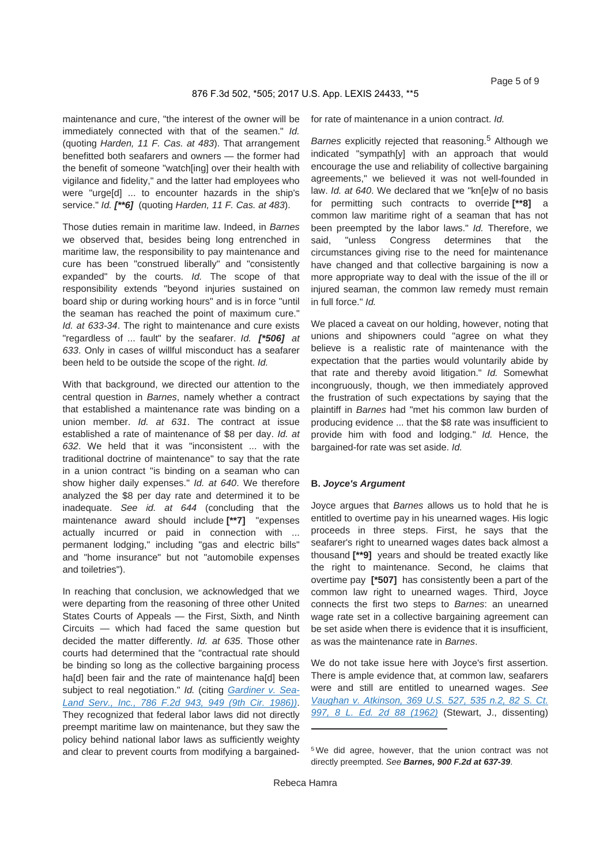maintenance and cure, "the interest of the owner will be immediately connected with that of the seamen." *Id.* (quoting *Harden, 11 F. Cas. at 483*). That arrangement benefitted both seafarers and owners — the former had the benefit of someone "watch[ing] over their health with vigilance and fidelity," and the latter had employees who were "urge[d] ... to encounter hazards in the ship's service." *Id. [\*\*6]* (quoting *Harden, 11 F. Cas. at 483*).

Those duties remain in maritime law. Indeed, in *Barnes* we observed that, besides being long entrenched in maritime law, the responsibility to pay maintenance and cure has been "construed liberally" and "consistently expanded" by the courts. *Id.* The scope of that responsibility extends "beyond injuries sustained on board ship or during working hours" and is in force "until the seaman has reached the point of maximum cure." *Id. at 633-34.* The right to maintenance and cure exists "regardless of ... fault" by the seafarer. *Id. [\*506] at 633*. Only in cases of willful misconduct has a seafarer been held to be outside the scope of the right. *Id.*

With that background, we directed our attention to the central question in *Barnes*, namely whether a contract that established a maintenance rate was binding on a union member. *Id. at 631*. The contract at issue established a rate of maintenance of \$8 per day. *Id. at 632*. We held that it was "inconsistent ... with the traditional doctrine of maintenance" to say that the rate in a union contract "is binding on a seaman who can show higher daily expenses." *Id. at 640*. We therefore analyzed the \$8 per day rate and determined it to be inadequate. *See id. at 644* (concluding that the maintenance award should include **[\*\*7]** "expenses actually incurred or paid in connection with ... permanent lodging," including "gas and electric bills" and "home insurance" but not "automobile expenses and toiletries").

In reaching that conclusion, we acknowledged that we were departing from the reasoning of three other United States Courts of Appeals — the First, Sixth, and Ninth Circuits — which had faced the same question but decided the matter differently. *Id. at 635*. Those other courts had determined that the "contractual rate should be binding so long as the collective bargaining process haidl been fair and the rate of maintenance haidl been subject to real negotiation." *Id.* (citing *Gardiner v. Sea-Land Serv., Inc., 786 F.2d 943, 949 (9th Cir. 1986))*. They recognized that federal labor laws did not directly preempt maritime law on maintenance, but they saw the policy behind national labor laws as sufficiently weighty and clear to prevent courts from modifying a bargainedfor rate of maintenance in a union contract. *Id.*

*Barnes* explicitly rejected that reasoning.<sup>5</sup> Although we indicated "sympath[y] with an approach that would encourage the use and reliability of collective bargaining agreements," we believed it was not well-founded in law. *Id. at 640*. We declared that we "kn[e]w of no basis for permitting such contracts to override **[\*\*8]** a common law maritime right of a seaman that has not been preempted by the labor laws." *Id.* Therefore, we said, "unless Congress determines that the circumstances giving rise to the need for maintenance have changed and that collective bargaining is now a more appropriate way to deal with the issue of the ill or injured seaman, the common law remedy must remain in full force." *Id.*

We placed a caveat on our holding, however, noting that unions and shipowners could "agree on what they believe is a realistic rate of maintenance with the expectation that the parties would voluntarily abide by that rate and thereby avoid litigation." *Id.* Somewhat incongruously, though, we then immediately approved the frustration of such expectations by saying that the plaintiff in *Barnes* had "met his common law burden of producing evidence ... that the \$8 rate was insufficient to provide him with food and lodging." *Id.* Hence, the bargained-for rate was set aside. *Id.*

#### **B.** *Joyce's Argument*

Joyce argues that *Barnes* allows us to hold that he is entitled to overtime pay in his unearned wages. His logic proceeds in three steps. First, he says that the seafarer's right to unearned wages dates back almost a thousand **[\*\*9]** years and should be treated exactly like the right to maintenance. Second, he claims that overtime pay **[\*507]** has consistently been a part of the common law right to unearned wages. Third, Joyce connects the first two steps to *Barnes*: an unearned wage rate set in a collective bargaining agreement can be set aside when there is evidence that it is insufficient, as was the maintenance rate in *Barnes*.

We do not take issue here with Joyce's first assertion. There is ample evidence that, at common law, seafarers were and still are entitled to unearned wages. *See Vaughan v. Atkinson, 369 U.S. 527, 535 n.2, 82 S. Ct. 997, 8 L. Ed. 2d 88 (1962)* (Stewart, J., dissenting)

<sup>5</sup> We did agree, however, that the union contract was not directly preempted. *See Barnes, 900 F.2d at 637-39*.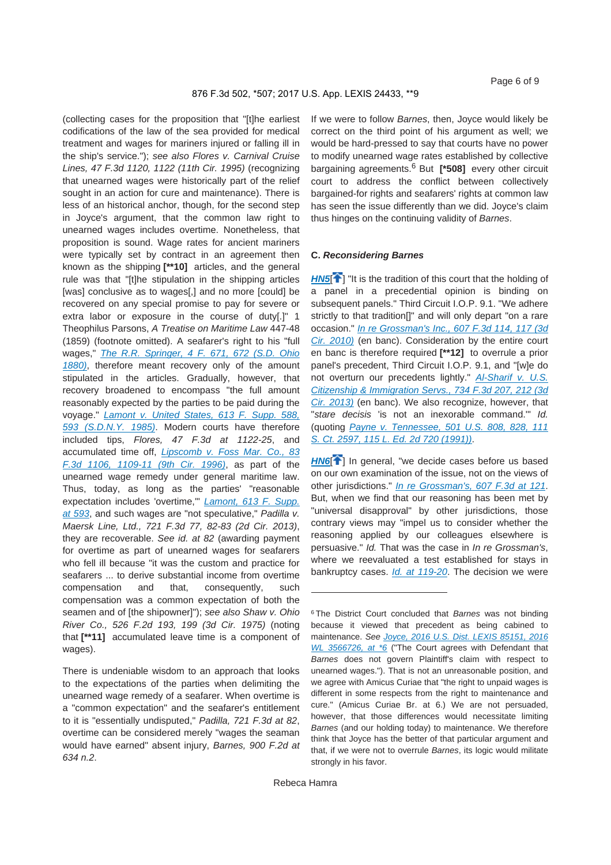(collecting cases for the proposition that "[t]he earliest codifications of the law of the sea provided for medical treatment and wages for mariners injured or falling ill in the ship's service."); *see also Flores v. Carnival Cruise Lines, 47 F.3d 1120, 1122 (11th Cir. 1995)* (recognizing that unearned wages were historically part of the relief sought in an action for cure and maintenance). There is less of an historical anchor, though, for the second step in Joyce's argument, that the common law right to unearned wages includes overtime. Nonetheless, that proposition is sound. Wage rates for ancient mariners were typically set by contract in an agreement then known as the shipping **[\*\*10]** articles, and the general rule was that "[t]he stipulation in the shipping articles [was] conclusive as to wages[,] and no more [could] be recovered on any special promise to pay for severe or extra labor or exposure in the course of duty[.]" 1 Theophilus Parsons, *A Treatise on Maritime Law* 447-48 (1859) (footnote omitted). A seafarer's right to his "full wages," *The R.R. Springer, 4 F. 671, 672 (S.D. Ohio 1880)*, therefore meant recovery only of the amount stipulated in the articles. Gradually, however, that recovery broadened to encompass "the full amount reasonably expected by the parties to be paid during the voyage." *Lamont v. United States, 613 F. Supp. 588, 593 (S.D.N.Y. 1985)*. Modern courts have therefore included tips, *Flores, 47 F.3d at 1122-25*, and accumulated time off, *Lipscomb v. Foss Mar. Co., 83 F.3d 1106, 1109-11 (9th Cir. 1996)*, as part of the unearned wage remedy under general maritime law. Thus, today, as long as the parties' "reasonable expectation includes 'overtime,'" *Lamont, 613 F. Supp. at 593*, and such wages are "not speculative," *Padilla v. Maersk Line, Ltd., 721 F.3d 77, 82-83 (2d Cir. 2013)*, they are recoverable. *See id. at 82* (awarding payment for overtime as part of unearned wages for seafarers who fell ill because "it was the custom and practice for seafarers ... to derive substantial income from overtime compensation and that, consequently, such compensation was a common expectation of both the seamen and of [the shipowner]"); *see also Shaw v. Ohio River Co., 526 F.2d 193, 199 (3d Cir. 1975)* (noting that **[\*\*11]** accumulated leave time is a component of wages).

There is undeniable wisdom to an approach that looks to the expectations of the parties when delimiting the unearned wage remedy of a seafarer. When overtime is a "common expectation" and the seafarer's entitlement to it is "essentially undisputed," *Padilla, 721 F.3d at 82*, overtime can be considered merely "wages the seaman would have earned" absent injury, *Barnes, 900 F.2d at 634 n.2*.

If we were to follow *Barnes*, then, Joyce would likely be correct on the third point of his argument as well; we would be hard-pressed to say that courts have no power to modify unearned wage rates established by collective bargaining agreements.6 But **[\*508]** every other circuit court to address the conflict between collectively bargained-for rights and seafarers' rights at common law has seen the issue differently than we did. Joyce's claim thus hinges on the continuing validity of *Barnes*.

#### **C.** *Reconsidering Barnes*

**HN5<sup>[4]</sup>** "It is the tradition of this court that the holding of a panel in a precedential opinion is binding on subsequent panels." Third Circuit I.O.P. 9.1. "We adhere strictly to that tradition[]" and will only depart "on a rare occasion." *In re Grossman's Inc., 607 F.3d 114, 117 (3d Cir. 2010)* (en banc). Consideration by the entire court en banc is therefore required **[\*\*12]** to overrule a prior panel's precedent, Third Circuit I.O.P. 9.1, and "[w]e do not overturn our precedents lightly." *Al-Sharif v. U.S. Citizenship & Immigration Servs., 734 F.3d 207, 212 (3d Cir. 2013)* (en banc). We also recognize, however, that "*stare decisis* 'is not an inexorable command.'" *Id.* (quoting *Payne v. Tennessee, 501 U.S. 808, 828, 111 S. Ct. 2597, 115 L. Ed. 2d 720 (1991))*.

**HN6<sup>[4]</sup>** In general, "we decide cases before us based on our own examination of the issue, not on the views of other jurisdictions." *In re Grossman's, 607 F.3d at 121*. But, when we find that our reasoning has been met by "universal disapproval" by other jurisdictions, those contrary views may "impel us to consider whether the reasoning applied by our colleagues elsewhere is persuasive." *Id.* That was the case in *In re Grossman's*, where we reevaluated a test established for stays in bankruptcy cases. *Id. at 119-20*. The decision we were

<sup>6</sup> The District Court concluded that *Barnes* was not binding because it viewed that precedent as being cabined to maintenance. *See Joyce, 2016 U.S. Dist. LEXIS 85151, 2016 WL 3566726, at \*6* ("The Court agrees with Defendant that *Barnes* does not govern Plaintiff's claim with respect to unearned wages."). That is not an unreasonable position, and we agree with Amicus Curiae that "the right to unpaid wages is different in some respects from the right to maintenance and cure." (Amicus Curiae Br. at 6.) We are not persuaded, however, that those differences would necessitate limiting *Barnes* (and our holding today) to maintenance. We therefore think that Joyce has the better of that particular argument and that, if we were not to overrule *Barnes*, its logic would militate strongly in his favor.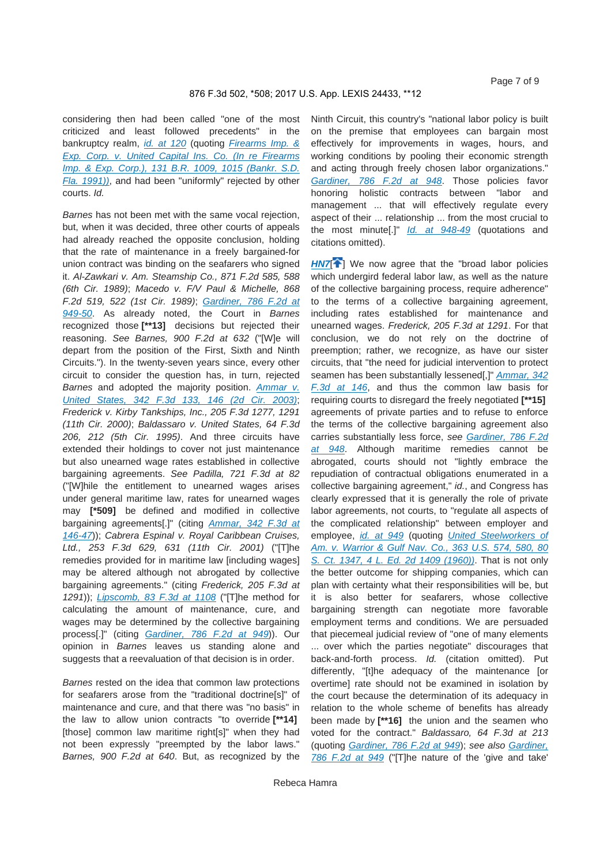considering then had been called "one of the most criticized and least followed precedents" in the bankruptcy realm, *id. at 120* (quoting *Firearms Imp. & Exp. Corp. v. United Capital Ins. Co. (In re Firearms Imp. & Exp. Corp.), 131 B.R. 1009, 1015 (Bankr. S.D. Fla. 1991))*, and had been "uniformly" rejected by other courts. *Id.*

*Barnes* has not been met with the same vocal rejection, but, when it was decided, three other courts of appeals had already reached the opposite conclusion, holding that the rate of maintenance in a freely bargained-for union contract was binding on the seafarers who signed it. *Al-Zawkari v. Am. Steamship Co., 871 F.2d 585, 588 (6th Cir. 1989)*; *Macedo v. F/V Paul & Michelle, 868 F.2d 519, 522 (1st Cir. 1989)*; *Gardiner, 786 F.2d at 949-50*. As already noted, the Court in *Barnes* recognized those **[\*\*13]** decisions but rejected their reasoning. *See Barnes, 900 F.2d at 632* ("[W]e will depart from the position of the First, Sixth and Ninth Circuits."). In the twenty-seven years since, every other circuit to consider the question has, in turn, rejected *Barnes* and adopted the majority position. *Ammar v. United States, 342 F.3d 133, 146 (2d Cir. 2003)*; *Frederick v. Kirby Tankships, Inc., 205 F.3d 1277, 1291 (11th Cir. 2000)*; *Baldassaro v. United States, 64 F.3d 206, 212 (5th Cir. 1995)*. And three circuits have extended their holdings to cover not just maintenance but also unearned wage rates established in collective bargaining agreements. *See Padilla, 721 F.3d at 82* ("[W]hile the entitlement to unearned wages arises under general maritime law, rates for unearned wages may **[\*509]** be defined and modified in collective bargaining agreements[.]" (citing *Ammar, 342 F.3d at 146-47*)); *Cabrera Espinal v. Royal Caribbean Cruises, Ltd., 253 F.3d 629, 631 (11th Cir. 2001)* ("[T]he remedies provided for in maritime law [including wages] may be altered although not abrogated by collective bargaining agreements." (citing *Frederick, 205 F.3d at 1291*)); *Lipscomb, 83 F.3d at 1108* ("[T]he method for calculating the amount of maintenance, cure, and wages may be determined by the collective bargaining process[.]" (citing *Gardiner, 786 F.2d at 949*)). Our opinion in *Barnes* leaves us standing alone and suggests that a reevaluation of that decision is in order.

*Barnes* rested on the idea that common law protections for seafarers arose from the "traditional doctrine[s]" of maintenance and cure, and that there was "no basis" in the law to allow union contracts "to override **[\*\*14]**  [those] common law maritime right[s]" when they had not been expressly "preempted by the labor laws." *Barnes, 900 F.2d at 640*. But, as recognized by the

Ninth Circuit, this country's "national labor policy is built on the premise that employees can bargain most effectively for improvements in wages, hours, and working conditions by pooling their economic strength and acting through freely chosen labor organizations." *Gardiner, 786 F.2d at 948*. Those policies favor honoring holistic contracts between "labor and management ... that will effectively regulate every aspect of their ... relationship ... from the most crucial to the most minute[.]" *Id. at 948-49* (quotations and citations omitted).

**HN7<sup>1</sup>** We now agree that the "broad labor policies which undergird federal labor law, as well as the nature of the collective bargaining process, require adherence" to the terms of a collective bargaining agreement, including rates established for maintenance and unearned wages. *Frederick, 205 F.3d at 1291*. For that conclusion, we do not rely on the doctrine of preemption; rather, we recognize, as have our sister circuits, that "the need for judicial intervention to protect seamen has been substantially lessened[,]" *Ammar, 342 F.3d at 146*, and thus the common law basis for requiring courts to disregard the freely negotiated **[\*\*15]**  agreements of private parties and to refuse to enforce the terms of the collective bargaining agreement also carries substantially less force, *see Gardiner, 786 F.2d at 948*. Although maritime remedies cannot be abrogated, courts should not "lightly embrace the repudiation of contractual obligations enumerated in a collective bargaining agreement," *id.*, and Congress has clearly expressed that it is generally the role of private labor agreements, not courts, to "regulate all aspects of the complicated relationship" between employer and employee, *id. at 949* (quoting *United Steelworkers of Am. v. Warrior & Gulf Nav. Co., 363 U.S. 574, 580, 80 S. Ct. 1347, 4 L. Ed. 2d 1409 (1960))*. That is not only the better outcome for shipping companies, which can plan with certainty what their responsibilities will be, but it is also better for seafarers, whose collective bargaining strength can negotiate more favorable employment terms and conditions. We are persuaded that piecemeal judicial review of "one of many elements ... over which the parties negotiate" discourages that back-and-forth process. *Id.* (citation omitted). Put differently, "[t]he adequacy of the maintenance [or overtime] rate should not be examined in isolation by the court because the determination of its adequacy in relation to the whole scheme of benefits has already been made by **[\*\*16]** the union and the seamen who voted for the contract." *Baldassaro, 64 F.3d at 213* (quoting *Gardiner, 786 F.2d at 949*); *see also Gardiner,* 

*786 F.2d at 949* ("[T]he nature of the 'give and take'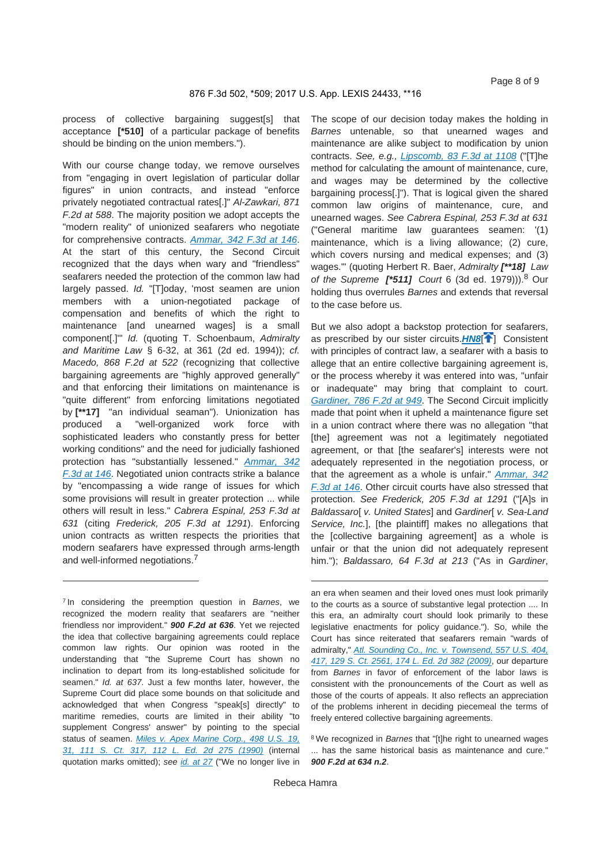process of collective bargaining suggest[s] that acceptance **[\*510]** of a particular package of benefits should be binding on the union members.").

With our course change today, we remove ourselves from "engaging in overt legislation of particular dollar figures" in union contracts, and instead "enforce privately negotiated contractual rates[.]" *Al-Zawkari, 871 F.2d at 588*. The majority position we adopt accepts the "modern reality" of unionized seafarers who negotiate for comprehensive contracts. *Ammar, 342 F.3d at 146*. At the start of this century, the Second Circuit recognized that the days when wary and "friendless" seafarers needed the protection of the common law had largely passed. *Id.* "[T]oday, 'most seamen are union members with a union-negotiated package of compensation and benefits of which the right to maintenance [and unearned wages] is a small component[.]'" *Id.* (quoting T. Schoenbaum, *Admiralty and Maritime Law* § 6-32, at 361 (2d ed. 1994)); *cf. Macedo, 868 F.2d at 522* (recognizing that collective bargaining agreements are "highly approved generally" and that enforcing their limitations on maintenance is "quite different" from enforcing limitations negotiated by **[\*\*17]** "an individual seaman"). Unionization has produced a "well-organized work force with sophisticated leaders who constantly press for better working conditions" and the need for judicially fashioned protection has "substantially lessened." *Ammar, 342 F.3d at 146*. Negotiated union contracts strike a balance by "encompassing a wide range of issues for which some provisions will result in greater protection ... while others will result in less." *Cabrera Espinal, 253 F.3d at 631* (citing *Frederick, 205 F.3d at 1291*). Enforcing union contracts as written respects the priorities that modern seafarers have expressed through arms-length and well-informed negotiations.<sup>7</sup>

7 In considering the preemption question in *Barnes*, we recognized the modern reality that seafarers are "neither friendless nor improvident." *900 F.2d at 636*. Yet we rejected the idea that collective bargaining agreements could replace common law rights. Our opinion was rooted in the understanding that "the Supreme Court has shown no inclination to depart from its long-established solicitude for seamen." *Id. at 637*. Just a few months later, however, the Supreme Court did place some bounds on that solicitude and acknowledged that when Congress "speak[s] directly" to maritime remedies, courts are limited in their ability "to supplement Congress' answer" by pointing to the special status of seamen. *Miles v. Apex Marine Corp., 498 U.S. 19, 31, 111 S. Ct. 317, 112 L. Ed. 2d 275 (1990)* (internal quotation marks omitted); *see id. at 27* ("We no longer live in The scope of our decision today makes the holding in *Barnes* untenable, so that unearned wages and maintenance are alike subject to modification by union contracts. *See, e.g., Lipscomb, 83 F.3d at 1108* ("[T]he method for calculating the amount of maintenance, cure, and wages may be determined by the collective bargaining process[.]"). That is logical given the shared common law origins of maintenance, cure, and unearned wages. *See Cabrera Espinal, 253 F.3d at 631* ("General maritime law guarantees seamen: '(1) maintenance, which is a living allowance; (2) cure, which covers nursing and medical expenses; and (3) wages.'" (quoting Herbert R. Baer, *Admiralty [\*\*18] Law of the Supreme [\*511] Court* 6 (3d ed. 1979))).8 Our holding thus overrules *Barnes* and extends that reversal to the case before us.

But we also adopt a backstop protection for seafarers, as prescribed by our sister circuits.**HN8<sup>[1]</sup>** Consistent with principles of contract law, a seafarer with a basis to allege that an entire collective bargaining agreement is, or the process whereby it was entered into was, "unfair or inadequate" may bring that complaint to court. *Gardiner, 786 F.2d at 949*. The Second Circuit implicitly made that point when it upheld a maintenance figure set in a union contract where there was no allegation "that [the] agreement was not a legitimately negotiated agreement, or that [the seafarer's] interests were not adequately represented in the negotiation process, or that the agreement as a whole is unfair." *Ammar, 342 F.3d at 146*. Other circuit courts have also stressed that protection. *See Frederick, 205 F.3d at 1291* ("[A]s in *Baldassaro*[ *v. United States*] and *Gardiner*[ *v. Sea-Land Service, Inc.*], [the plaintiff] makes no allegations that the [collective bargaining agreement] as a whole is unfair or that the union did not adequately represent him."); *Baldassaro, 64 F.3d at 213* ("As in *Gardiner*,

an era when seamen and their loved ones must look primarily to the courts as a source of substantive legal protection .... In this era, an admiralty court should look primarily to these legislative enactments for policy guidance."). So, while the Court has since reiterated that seafarers remain "wards of admiralty," *Atl. Sounding Co., Inc. v. Townsend, 557 U.S. 404, 417, 129 S. Ct. 2561, 174 L. Ed. 2d 382 (2009)*, our departure from *Barnes* in favor of enforcement of the labor laws is consistent with the pronouncements of the Court as well as those of the courts of appeals. It also reflects an appreciation of the problems inherent in deciding piecemeal the terms of freely entered collective bargaining agreements.

<sup>8</sup> We recognized in *Barnes* that "Itlhe right to unearned wages ... has the same historical basis as maintenance and cure." *900 F.2d at 634 n.2*.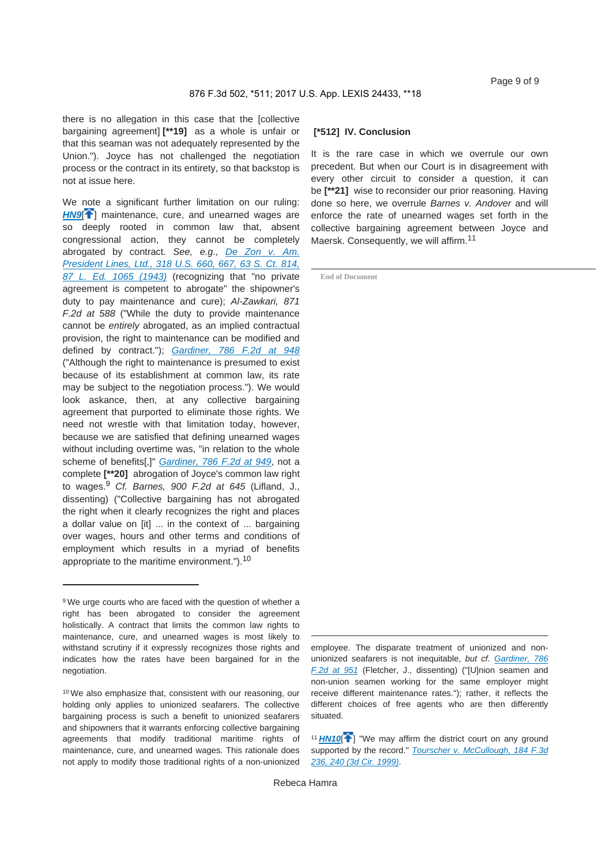there is no allegation in this case that the [collective bargaining agreement] **[\*\*19]** as a whole is unfair or that this seaman was not adequately represented by the Union."). Joyce has not challenged the negotiation process or the contract in its entirety, so that backstop is not at issue here.

We note a significant further limitation on our ruling: **HN9<sup>[4]</sup>** maintenance, cure, and unearned wages are so deeply rooted in common law that, absent congressional action, they cannot be completely abrogated by contract. *See, e.g., De Zon v. Am. President Lines, Ltd., 318 U.S. 660, 667, 63 S. Ct. 814, 87 L. Ed. 1065 (1943)* (recognizing that "no private agreement is competent to abrogate" the shipowner's duty to pay maintenance and cure); *Al-Zawkari, 871 F.2d at 588* ("While the duty to provide maintenance cannot be *entirely* abrogated, as an implied contractual provision, the right to maintenance can be modified and defined by contract."); *Gardiner, 786 F.2d at 948* ("Although the right to maintenance is presumed to exist because of its establishment at common law, its rate may be subject to the negotiation process."). We would look askance, then, at any collective bargaining agreement that purported to eliminate those rights. We need not wrestle with that limitation today, however, because we are satisfied that defining unearned wages without including overtime was, "in relation to the whole scheme of benefits[,]" *Gardiner, 786 F.2d at 949*, not a complete **[\*\*20]** abrogation of Joyce's common law right to wages.<sup>9</sup> *Cf. Barnes, 900 F.2d at 645* (Lifland, J., dissenting) ("Collective bargaining has not abrogated the right when it clearly recognizes the right and places a dollar value on [it] ... in the context of ... bargaining over wages, hours and other terms and conditions of employment which results in a myriad of benefits appropriate to the maritime environment.").<sup>10</sup>

#### **[\*512] IV. Conclusion**

It is the rare case in which we overrule our own precedent. But when our Court is in disagreement with every other circuit to consider a question, it can be **[\*\*21]** wise to reconsider our prior reasoning. Having done so here, we overrule *Barnes v. Andover* and will enforce the rate of unearned wages set forth in the collective bargaining agreement between Joyce and Maersk. Consequently, we will affirm.<sup>11</sup>

**End of Document**

employee. The disparate treatment of unionized and nonunionized seafarers is not inequitable, *but cf. Gardiner, 786 F.2d at 951* (Fletcher, J., dissenting) ("[U]nion seamen and non-union seamen working for the same employer might receive different maintenance rates."); rather, it reflects the different choices of free agents who are then differently situated.

<sup>&</sup>lt;sup>9</sup> We urge courts who are faced with the question of whether a right has been abrogated to consider the agreement holistically. A contract that limits the common law rights to maintenance, cure, and unearned wages is most likely to withstand scrutiny if it expressly recognizes those rights and indicates how the rates have been bargained for in the negotiation.

<sup>10</sup> We also emphasize that, consistent with our reasoning, our holding only applies to unionized seafarers. The collective bargaining process is such a benefit to unionized seafarers and shipowners that it warrants enforcing collective bargaining agreements that modify traditional maritime rights of maintenance, cure, and unearned wages. This rationale does not apply to modify those traditional rights of a non-unionized

<sup>&</sup>lt;sup>11</sup> HN10<sup>[4]</sup> "We may affirm the district court on any ground supported by the record." *Tourscher v. McCullough, 184 F.3d 236, 240 (3d Cir. 1999)*.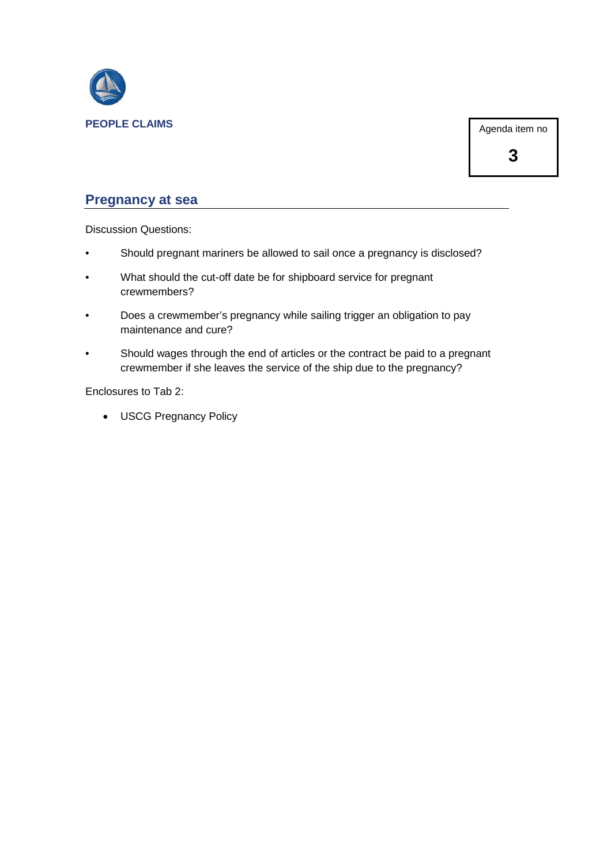

Agenda item no

**3**

#### **Pregnancy at sea**

Discussion Questions:

- Should pregnant mariners be allowed to sail once a pregnancy is disclosed?
- What should the cut-off date be for shipboard service for pregnant crewmembers?
- Does a crewmember's pregnancy while sailing trigger an obligation to pay maintenance and cure?
- Should wages through the end of articles or the contract be paid to a pregnant crewmember if she leaves the service of the ship due to the pregnancy?

Enclosures to Tab 2:

• USCG Pregnancy Policy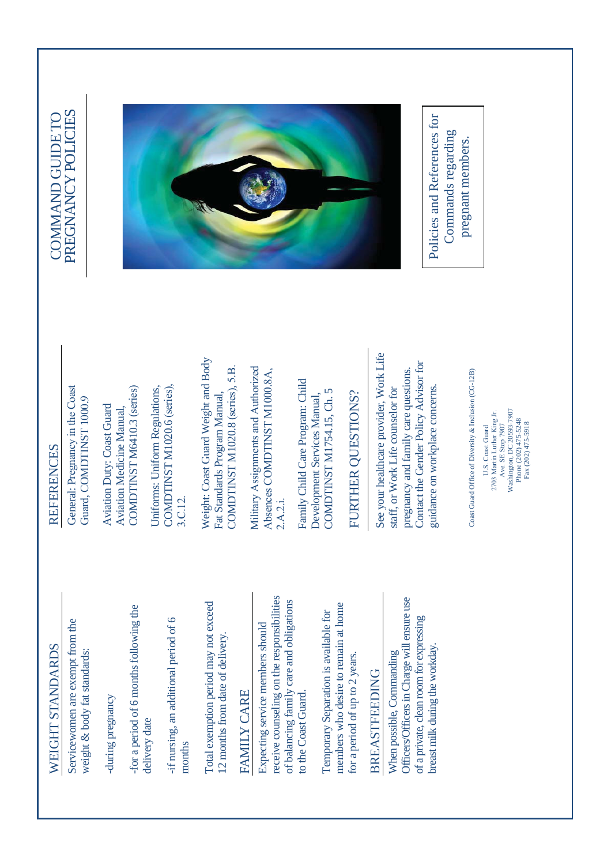# WEIGHT STANDARDS WEIGHT STANDARDS

Servicewomen are exempt from the Servicewomen are exempt from the weight & body fat standards: weight & body fat standards:

-during pregnancy during pregnancy

-for a period of 6 months following the for a period of 6 months following the delivery date delivery date

if nursing, an additional period of 6 -if nursing, an additional period of 6 months

Total exemption period may not exceed Total exemption period may not exceed 12 months from date of delivery. 12 months from date of delivery.

## FAMILY CARE **FAMILY CARE**

receive counseling on the responsibilities receive counseling on the responsibilities of balancing family care and obligations of balancing family care and obligations Expecting service members should Expecting service members should to the Coast Guard. to the Coast Guard.

members who desire to remain at home members who desire to remain at home Temporary Separation is available for Temporary Separation is available for for a period of up to 2 years. for a period of up to 2 years.

# **BREASTFEEDING** BREASTFEEDING

Officers/Officers in Charge will ensure use Officers/Officers in Charge will ensure use of a private, clean room for expressing of a private, clean room for expressing breast milk during the workday. breast milk during the workday. When possible, Commanding When possible, Commanding

## **REFERENCES** REFERENCES

General: Pregnancy in the Coast General: Pregnancy in the Coast ⊙. Guard, COMDTINST 1000.

COMDTINST M6410.3 (series) COMDTINST M6410.3 (series) Aviation Duty: Coast Guard **Aviation Duty: Coast Guard Aviation Medicine Manual,** Aviation Medicine Manual,

Uniforms: Uniform Regulations, COMDTINST M1020.6 (series), Uniforms: Uniform Regulations, COMDTINST M1020.6 (series), 3.C.12.

Weight: Coast Guard Weight and Body Weight: Coast Guard Weight and Body COMDTINST M1020.8 (series), 5.B.  $\mathrm{COMDTINST}$  M1020.8 (series), 5.B. Fat Standards Program Manual, Fat Standards Program Manual,

Military Assignments and Authorized Military Assignments and Authorized Absences COMDTINST M1000.8A, Absences COMDTINST M1000.8A, 2.A.2.i.

Family Child Care Program: Child Family Child Care Program: Child COMDTINST M1754.15, Ch. 5 COMDTINST M1754.15, Ch. 5 Development Services Manual, Development Services Manual,

# FURTHER QUESTIONS? FURTHER QUESTIONS?

See your healthcare provider, Work Life See your healthcare provider, Work Life Contact the Gender Policy Advisor for Contact the Gender Policy Advisor for pregnancy and family care questions. pregnancy and family care questions. guidance on workplace concerns. staff, or Work Life counselor for staff, or Work Life counselor for guidance on workplace concerns.

Coast Guard Office of Diversity & Inclusion (CG-12B) Coast Guard Office of Diversity & Inclusion (CG-12B)

Washington, DC 20593-7907 Washington, DC 20593-7907 2703 Martin Luther King Jr. 2703 Martin Luther King Jr. Phone (202) 475-5248 Phone (202) 475-5248 Fax (202) 475-5918 Fax (202) 475-5918 Ave. SE Stop 7907 Ave. SE Stop 7907 U.S. Coast Guard U.S. Coast Guard

### PREGNANCY POLICIES COMMAND GUIDE TO PREGNANCY POLICIES COMMAND GUIDE TO



Policies and References for Policies and References for Commands regarding Commands regarding pregnant members. pregnant members.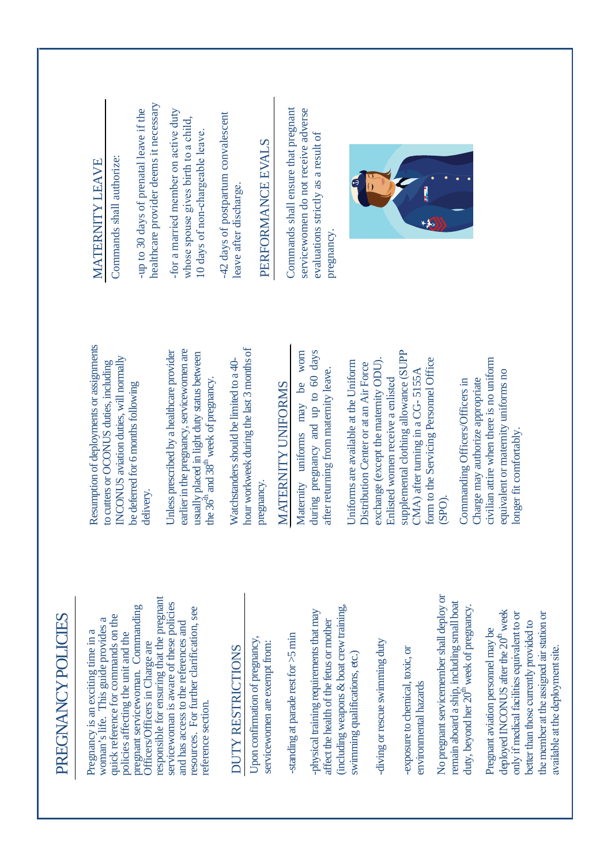| PREGNANCY POLICIES                                                                                                                                                                                                                                                            |                                                                                                                                                                                                         |                                                                                                                                          |
|-------------------------------------------------------------------------------------------------------------------------------------------------------------------------------------------------------------------------------------------------------------------------------|---------------------------------------------------------------------------------------------------------------------------------------------------------------------------------------------------------|------------------------------------------------------------------------------------------------------------------------------------------|
| responsible for ensuring that the pregnant<br>pregnant servicewoman. Commanding<br>quick reference for commands on the<br>woman's life. This guide provides a<br>Pregnancy is an exciting time in a<br>policies affecting the unit and the<br>Officers/Officers in Charge are | Resumption of deployments or assignments<br>INCONUS aviation duties, will normally<br>to cutters or OCONUS duties, including<br>be deferred for 6 months following<br>delivery.                         | healthcare provider deems it necessary<br>-up to 30 days of prenatal leave if the<br>Commands shall authorize:<br><b>MATERNITY LEAVE</b> |
| servicewoman is aware of these policies<br>resources. For further clarification, see<br>and has access to the references and<br>reference section.                                                                                                                            | earlier in the pregnancy, servicewomen are<br>Unless prescribed by a healthcare provider<br>usually placed in light duty status between<br>the 36 <sup>th</sup> and 38 <sup>th</sup> week of pregnancy. | -for a married member on active duty<br>whose spouse gives birth to a child,<br>10 days of non-chargeable leave.                         |
| Upon confirmation of pregnancy,<br>servicewomen are exempt from:<br>DUTY RESTRICTIONS                                                                                                                                                                                         | hour workweek during the last 3 months of<br>Watchstanders should be limited to a 40-<br>pregnancy.                                                                                                     | -42 days of postpartum convalescent<br>PERFORMANCE EVALS<br>leave after discharge.                                                       |
| -physical training requirements that may<br>affect the health of the fetus or mother<br>-standing at parade rest for $>5$ min                                                                                                                                                 | days<br>worn<br>after returning from maternity leave.<br>during pregnancy and up to 60<br>MATERNITY UNIFORMS<br>be<br>may<br>uniforms<br>Maternity                                                      | Commands shall ensure that pregnant<br>servicewomen do not receive adverse<br>evaluations strictly as a result of<br>pregnancy.          |
| (including weapons & boat crew training,<br>diving or rescue swimming duty<br>swimming qualifications, etc.)                                                                                                                                                                  | exchange (except the maternity ODU).<br>Uniforms are available at the Uniform<br>Distribution Center or at an Air Force                                                                                 |                                                                                                                                          |
| -exposure to chemical, toxic, or<br>environmental hazards                                                                                                                                                                                                                     | supplemental clothing allowance (SUPP<br>form to the Servicing Personnel Office<br>CMA) after turning in a CG-5155A<br>Enlisted women receive a enlisted                                                |                                                                                                                                          |
| No pregnant servicemember shall deploy or<br>remain aboard a ship, including small boat<br>duty, beyond her 20 <sup>th</sup> week of pregnancy.                                                                                                                               | Charge may authorize appropriate<br>Commanding Officers/Officers in<br>$(SPO)$ .                                                                                                                        |                                                                                                                                          |
| deployed INCONUS after the 20 <sup>th</sup> week<br>the member at the assigned air station or<br>only if medical facilities equivalent to or<br>better than those currently provided to<br>Pregnant aviation personnel may be<br>available at the deployment site.            | civilian attire when there is no uniform<br>equivalent or maternity uniforms no<br>longer fit comfortably.                                                                                              |                                                                                                                                          |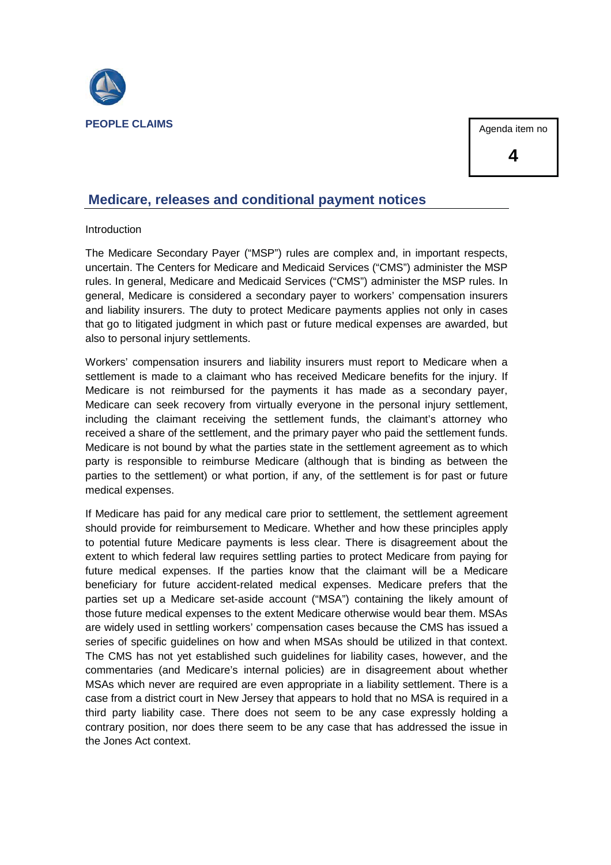

Agenda item no

**4**

#### **Medicare, releases and conditional payment notices**

#### Introduction

The Medicare Secondary Payer ("MSP") rules are complex and, in important respects, uncertain. The Centers for Medicare and Medicaid Services ("CMS") administer the MSP rules. In general, Medicare and Medicaid Services ("CMS") administer the MSP rules. In general, Medicare is considered a secondary payer to workers' compensation insurers and liability insurers. The duty to protect Medicare payments applies not only in cases that go to litigated judgment in which past or future medical expenses are awarded, but also to personal injury settlements.

Workers' compensation insurers and liability insurers must report to Medicare when a settlement is made to a claimant who has received Medicare benefits for the injury. If Medicare is not reimbursed for the payments it has made as a secondary payer, Medicare can seek recovery from virtually everyone in the personal injury settlement, including the claimant receiving the settlement funds, the claimant's attorney who received a share of the settlement, and the primary payer who paid the settlement funds. Medicare is not bound by what the parties state in the settlement agreement as to which party is responsible to reimburse Medicare (although that is binding as between the parties to the settlement) or what portion, if any, of the settlement is for past or future medical expenses.

If Medicare has paid for any medical care prior to settlement, the settlement agreement should provide for reimbursement to Medicare. Whether and how these principles apply to potential future Medicare payments is less clear. There is disagreement about the extent to which federal law requires settling parties to protect Medicare from paying for future medical expenses. If the parties know that the claimant will be a Medicare beneficiary for future accident-related medical expenses. Medicare prefers that the parties set up a Medicare set-aside account ("MSA") containing the likely amount of those future medical expenses to the extent Medicare otherwise would bear them. MSAs are widely used in settling workers' compensation cases because the CMS has issued a series of specific guidelines on how and when MSAs should be utilized in that context. The CMS has not yet established such guidelines for liability cases, however, and the commentaries (and Medicare's internal policies) are in disagreement about whether MSAs which never are required are even appropriate in a liability settlement. There is a case from a district court in New Jersey that appears to hold that no MSA is required in a third party liability case. There does not seem to be any case expressly holding a contrary position, nor does there seem to be any case that has addressed the issue in the Jones Act context.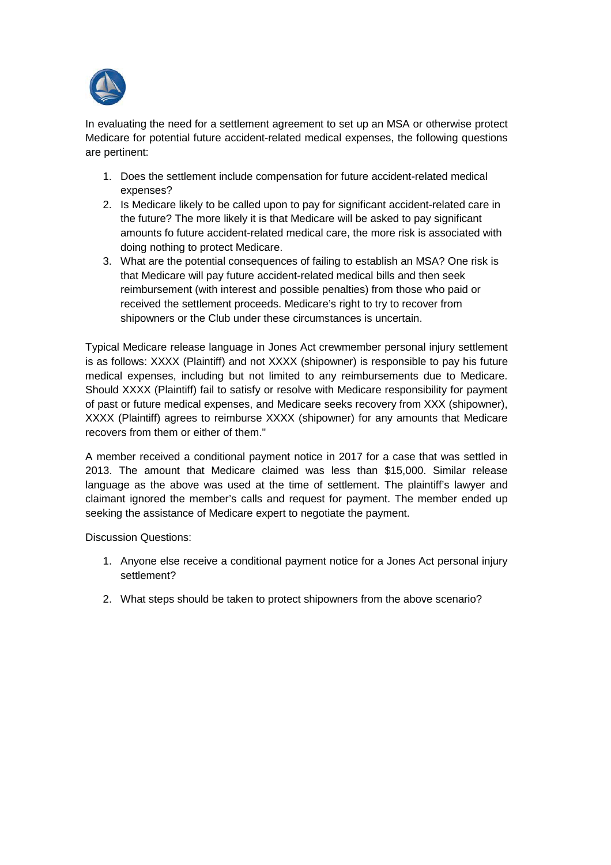

In evaluating the need for a settlement agreement to set up an MSA or otherwise protect Medicare for potential future accident-related medical expenses, the following questions are pertinent:

- 1. Does the settlement include compensation for future accident-related medical expenses?
- 2. Is Medicare likely to be called upon to pay for significant accident-related care in the future? The more likely it is that Medicare will be asked to pay significant amounts fo future accident-related medical care, the more risk is associated with doing nothing to protect Medicare.
- 3. What are the potential consequences of failing to establish an MSA? One risk is that Medicare will pay future accident-related medical bills and then seek reimbursement (with interest and possible penalties) from those who paid or received the settlement proceeds. Medicare's right to try to recover from shipowners or the Club under these circumstances is uncertain.

Typical Medicare release language in Jones Act crewmember personal injury settlement is as follows: XXXX (Plaintiff) and not XXXX (shipowner) is responsible to pay his future medical expenses, including but not limited to any reimbursements due to Medicare. Should XXXX (Plaintiff) fail to satisfy or resolve with Medicare responsibility for payment of past or future medical expenses, and Medicare seeks recovery from XXX (shipowner), XXXX (Plaintiff) agrees to reimburse XXXX (shipowner) for any amounts that Medicare recovers from them or either of them."

A member received a conditional payment notice in 2017 for a case that was settled in 2013. The amount that Medicare claimed was less than \$15,000. Similar release language as the above was used at the time of settlement. The plaintiff's lawyer and claimant ignored the member's calls and request for payment. The member ended up seeking the assistance of Medicare expert to negotiate the payment.

Discussion Questions:

- 1. Anyone else receive a conditional payment notice for a Jones Act personal injury settlement?
- 2. What steps should be taken to protect shipowners from the above scenario?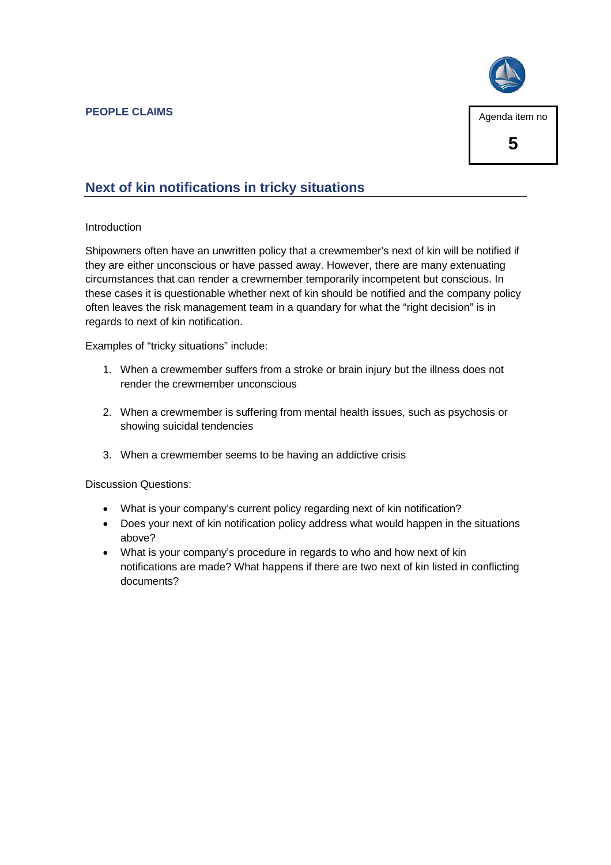

#### **Next of kin notifications in tricky situations**

#### Introduction

Shipowners often have an unwritten policy that a crewmember's next of kin will be notified if they are either unconscious or have passed away. However, there are many extenuating circumstances that can render a crewmember temporarily incompetent but conscious. In these cases it is questionable whether next of kin should be notified and the company policy often leaves the risk management team in a quandary for what the "right decision" is in regards to next of kin notification.

Examples of "tricky situations" include:

- 1. When a crewmember suffers from a stroke or brain injury but the illness does not render the crewmember unconscious
- 2. When a crewmember is suffering from mental health issues, such as psychosis or showing suicidal tendencies
- 3. When a crewmember seems to be having an addictive crisis

Discussion Questions:

- What is your company's current policy regarding next of kin notification?
- Does your next of kin notification policy address what would happen in the situations above?
- What is your company's procedure in regards to who and how next of kin notifications are made? What happens if there are two next of kin listed in conflicting documents?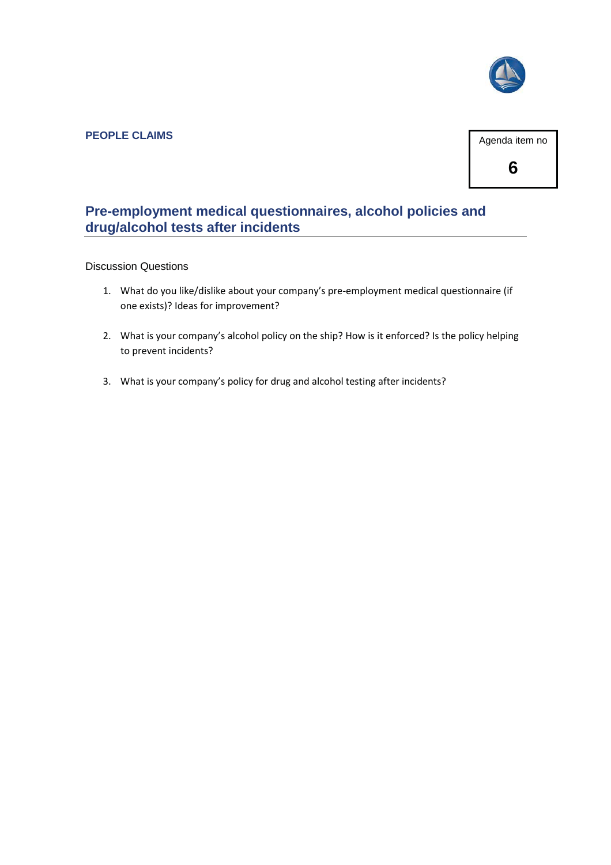

#### **PEOPLE CLAIMS**



#### **Pre-employment medical questionnaires, alcohol policies and drug/alcohol tests after incidents**

#### Discussion Questions

- 1. What do you like/dislike about your company's pre-employment medical questionnaire (if one exists)? Ideas for improvement?
- 2. What is your company's alcohol policy on the ship? How is it enforced? Is the policy helping to prevent incidents?
- 3. What is your company's policy for drug and alcohol testing after incidents?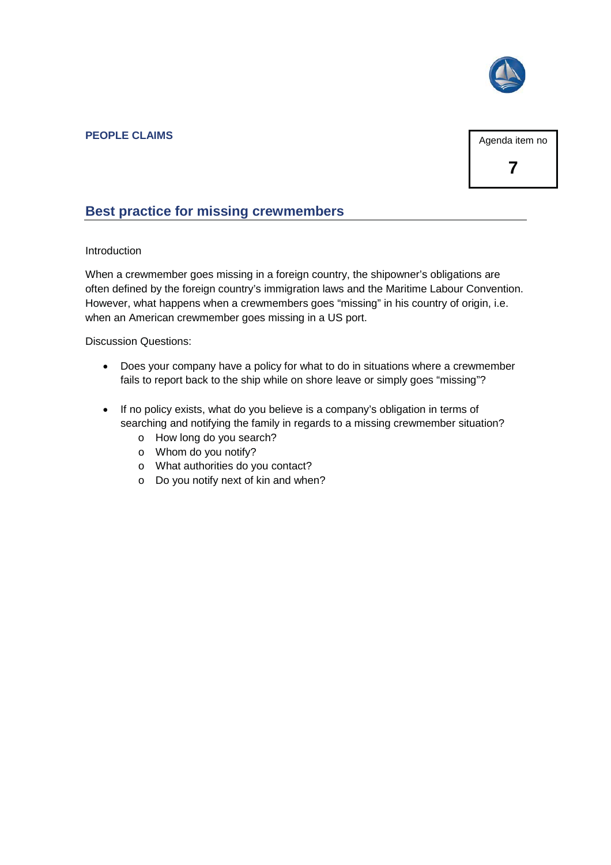

#### **PEOPLE CLAIMS**

Agenda item no

**7**

#### **Best practice for missing crewmembers**

#### Introduction

When a crewmember goes missing in a foreign country, the shipowner's obligations are often defined by the foreign country's immigration laws and the Maritime Labour Convention. However, what happens when a crewmembers goes "missing" in his country of origin, i.e. when an American crewmember goes missing in a US port.

Discussion Questions:

- Does your company have a policy for what to do in situations where a crewmember fails to report back to the ship while on shore leave or simply goes "missing"?
- If no policy exists, what do you believe is a company's obligation in terms of searching and notifying the family in regards to a missing crewmember situation?
	- o How long do you search?
	- o Whom do you notify?
	- o What authorities do you contact?
	- o Do you notify next of kin and when?